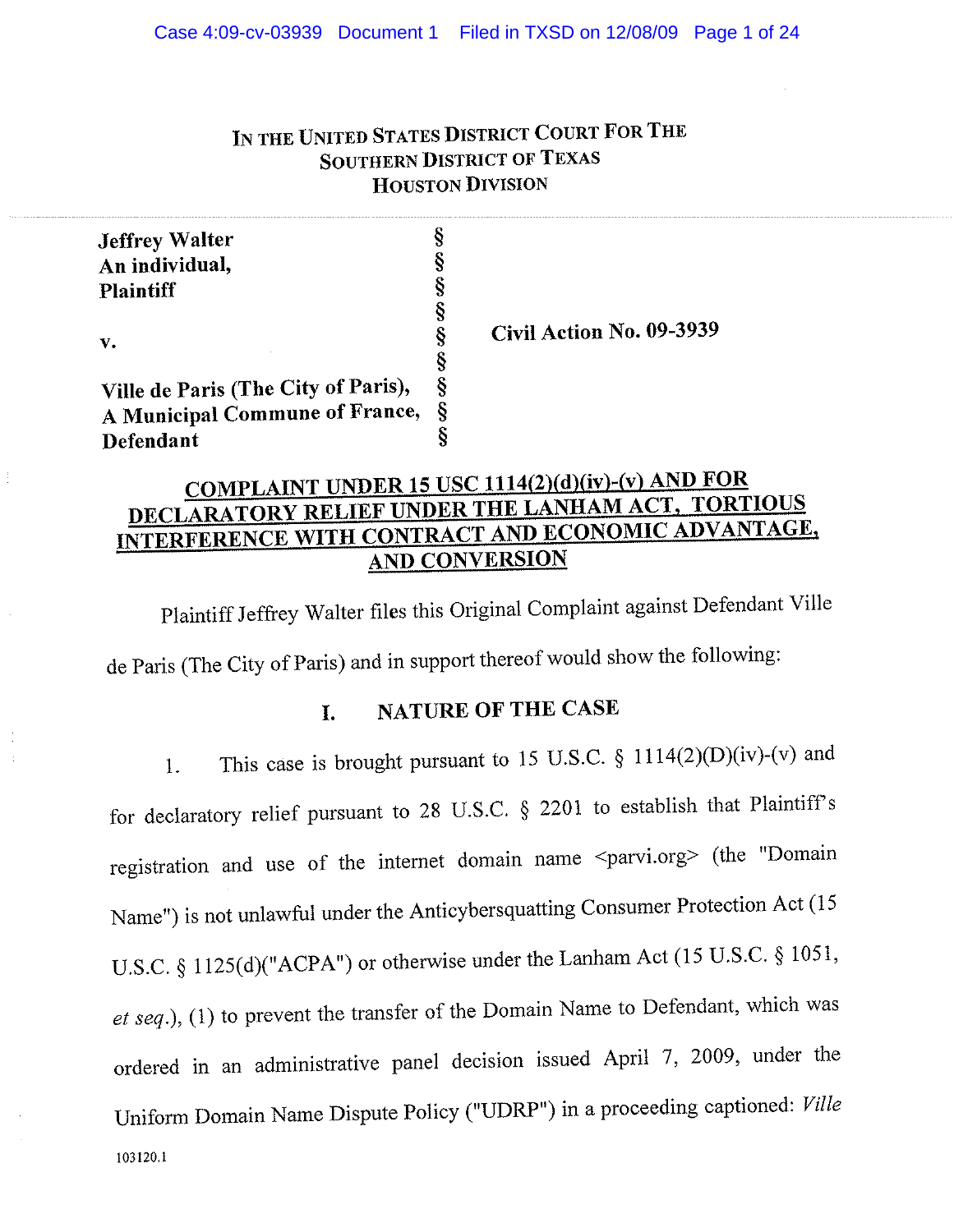# IN THE UNITED STATES DISTRICT COURT FOR THE **SOUTHERN DISTRICT OF TEXAS HOUSTON DIVISION**

| <b>Jeffrey Walter</b>               |   |
|-------------------------------------|---|
| An individual,                      |   |
| <b>Plaintiff</b><br>$\mathbf{v}$ .  | Ş |
|                                     | Ş |
|                                     | ş |
|                                     |   |
| Ville de Paris (The City of Paris), | 8 |
| A Municipal Commune of France,      | Ş |
| Defendant                           |   |

Civil Action No. 09-3939

# COMPLAINT UNDER 15 USC 1114(2)(d)(iv)-(v) AND FOR DECLARATORY RELIEF UNDER THE LANHAM ACT, TORTIOUS INTERFERENCE WITH CONTRACT AND ECONOMIC ADVANTAGE, **AND CONVERSION**

Plaintiff Jeffrey Walter files this Original Complaint against Defendant Ville

de Paris (The City of Paris) and in support thereof would show the following:

#### **NATURE OF THE CASE** I.

This case is brought pursuant to 15 U.S.C.  $\S$  1114(2)(D)(iv)-(v) and 1. for declaratory relief pursuant to 28 U.S.C. § 2201 to establish that Plaintiff's registration and use of the internet domain name <parvi.org> (the "Domain Name") is not unlawful under the Anticybersquatting Consumer Protection Act (15 U.S.C. § 1125(d)("ACPA") or otherwise under the Lanham Act (15 U.S.C. § 1051, et seq.), (1) to prevent the transfer of the Domain Name to Defendant, which was ordered in an administrative panel decision issued April 7, 2009, under the Uniform Domain Name Dispute Policy ("UDRP") in a proceeding captioned: Ville 103120.1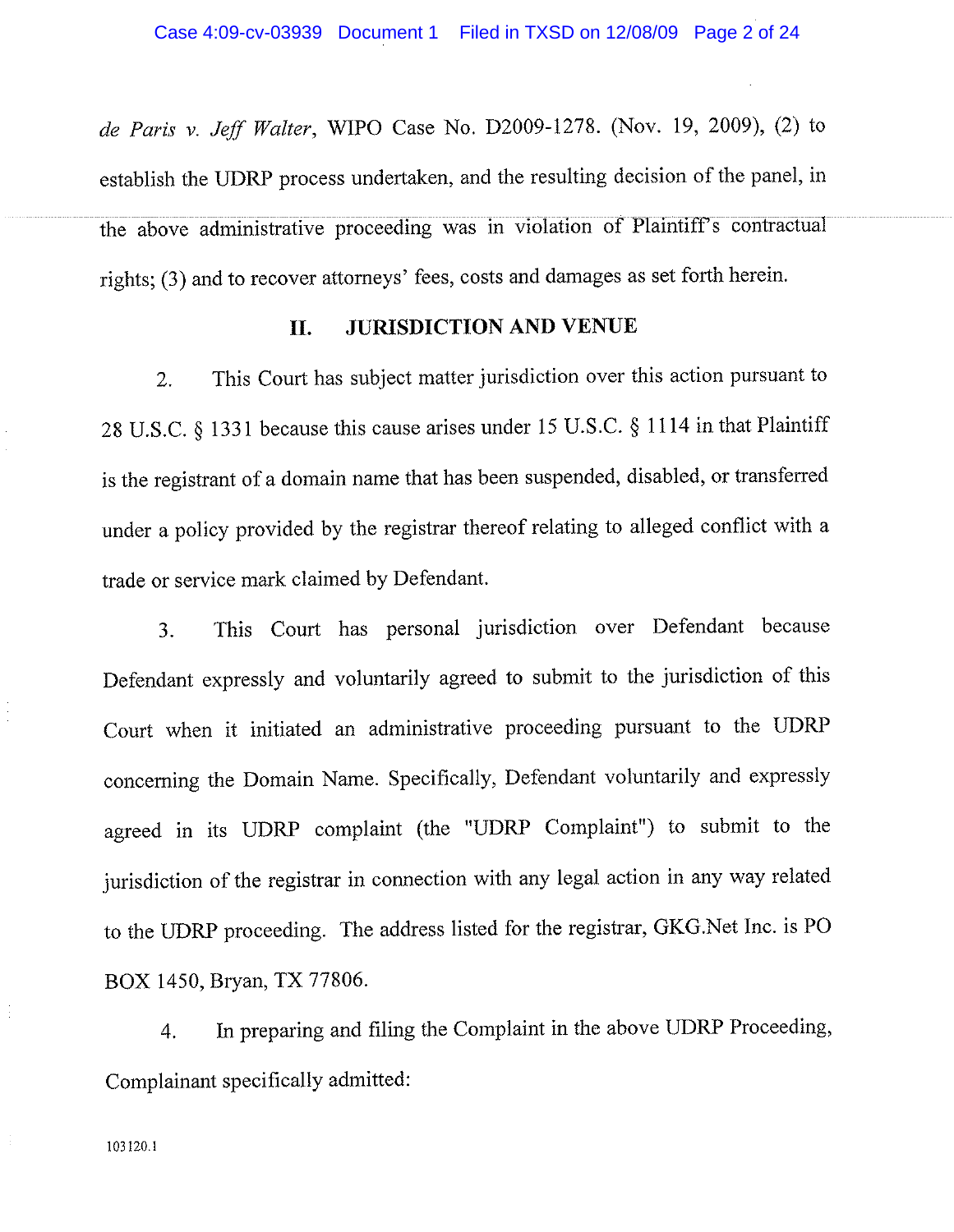de Paris v. Jeff Walter, WIPO Case No. D2009-1278. (Nov. 19, 2009), (2) to establish the UDRP process undertaken, and the resulting decision of the panel, in the above administrative proceeding was in violation of Plaintiff's contractual rights; (3) and to recover attorneys' fees, costs and damages as set forth herein.

#### **JURISDICTION AND VENUE** II.

This Court has subject matter jurisdiction over this action pursuant to 2. 28 U.S.C. § 1331 because this cause arises under 15 U.S.C. § 1114 in that Plaintiff is the registrant of a domain name that has been suspended, disabled, or transferred under a policy provided by the registrar thereof relating to alleged conflict with a trade or service mark claimed by Defendant.

This Court has personal jurisdiction over Defendant because  $3.$ Defendant expressly and voluntarily agreed to submit to the jurisdiction of this Court when it initiated an administrative proceeding pursuant to the UDRP concerning the Domain Name. Specifically, Defendant voluntarily and expressly agreed in its UDRP complaint (the "UDRP Complaint") to submit to the jurisdiction of the registrar in connection with any legal action in any way related to the UDRP proceeding. The address listed for the registrar, GKG.Net Inc. is PO BOX 1450, Bryan, TX 77806.

In preparing and filing the Complaint in the above UDRP Proceeding, 4. Complainant specifically admitted: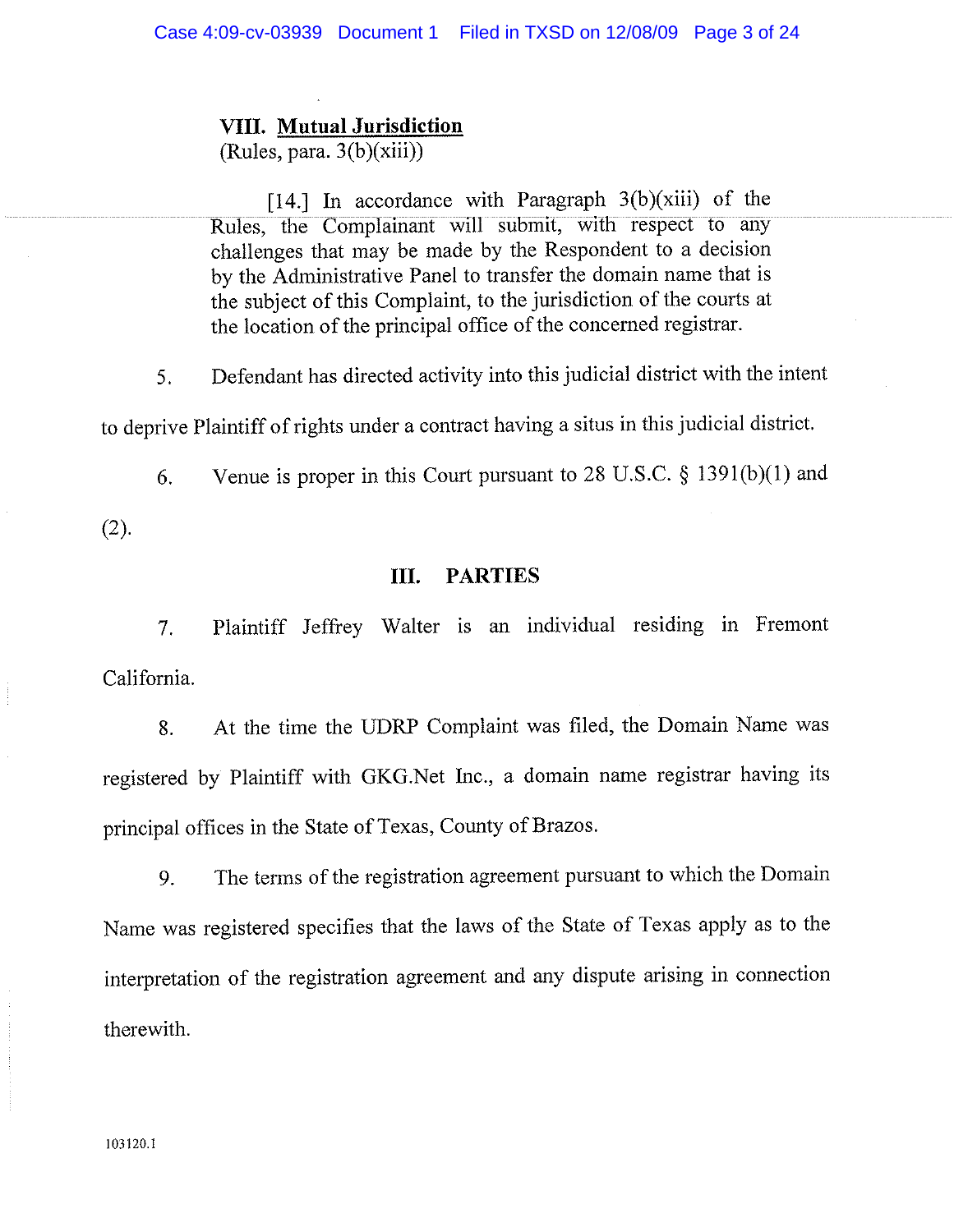## **VIII. Mutual Jurisdiction**

 $(Rules, para. 3(b)(xiii))$ 

[14.] In accordance with Paragraph  $3(b)(xiii)$  of the Rules, the Complainant will submit, with respect to any challenges that may be made by the Respondent to a decision by the Administrative Panel to transfer the domain name that is the subject of this Complaint, to the jurisdiction of the courts at the location of the principal office of the concerned registrar.

Defendant has directed activity into this judicial district with the intent 5. to deprive Plaintiff of rights under a contract having a situs in this judicial district.

Venue is proper in this Court pursuant to 28 U.S.C. § 1391(b)(1) and 6.

 $(2).$ 

#### **PARTIES** Ш.

Plaintiff Jeffrey Walter is an individual residing in Fremont  $7.$ California.

At the time the UDRP Complaint was filed, the Domain Name was 8. registered by Plaintiff with GKG.Net Inc., a domain name registrar having its principal offices in the State of Texas, County of Brazos.

The terms of the registration agreement pursuant to which the Domain 9. Name was registered specifies that the laws of the State of Texas apply as to the interpretation of the registration agreement and any dispute arising in connection therewith.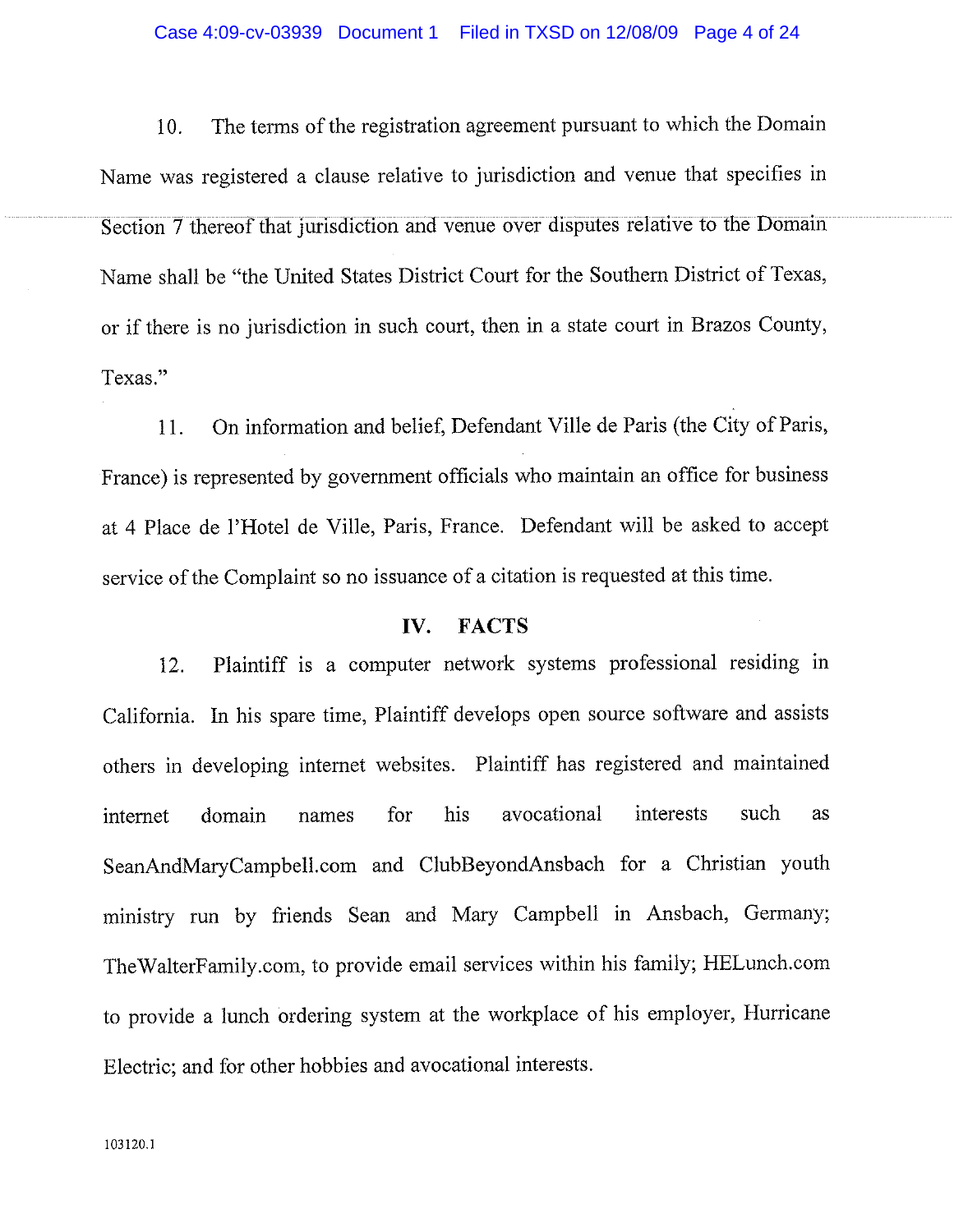The terms of the registration agreement pursuant to which the Domain 10. Name was registered a clause relative to jurisdiction and venue that specifies in Section 7 thereof that jurisdiction and venue over disputes relative to the Domain Name shall be "the United States District Court for the Southern District of Texas, or if there is no jurisdiction in such court, then in a state court in Brazos County, Texas."

On information and belief, Defendant Ville de Paris (the City of Paris, 11. France) is represented by government officials who maintain an office for business at 4 Place de l'Hotel de Ville, Paris, France. Defendant will be asked to accept service of the Complaint so no issuance of a citation is requested at this time.

#### IV. **FACTS**

Plaintiff is a computer network systems professional residing in 12. California. In his spare time, Plaintiff develops open source software and assists others in developing internet websites. Plaintiff has registered and maintained his such for avocational interests internet domain names **as** SeanAndMaryCampbell.com and ClubBeyondAnsbach for a Christian youth ministry run by friends Sean and Mary Campbell in Ansbach, Germany; The WalterFamily.com, to provide email services within his family; HELunch.com to provide a lunch ordering system at the workplace of his employer, Hurricane Electric; and for other hobbies and avocational interests.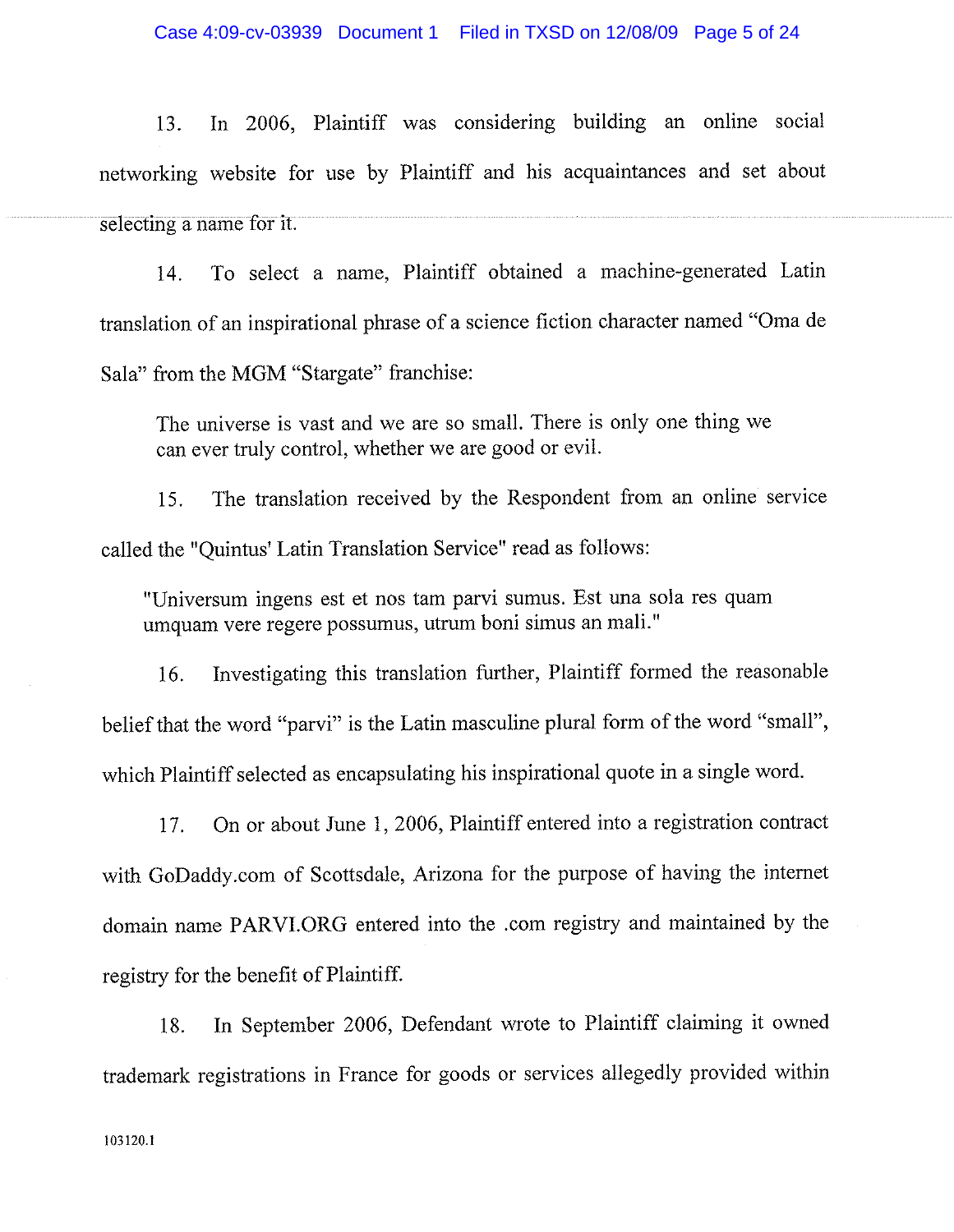In 2006, Plaintiff was considering building an online social 13. networking website for use by Plaintiff and his acquaintances and set about selecting a name for it.

To select a name, Plaintiff obtained a machine-generated Latin 14. translation of an inspirational phrase of a science fiction character named "Oma de Sala" from the MGM "Stargate" franchise:

The universe is vast and we are so small. There is only one thing we can ever truly control, whether we are good or evil.

The translation received by the Respondent from an online service 15. called the "Quintus' Latin Translation Service" read as follows:

"Universum ingens est et nos tam parvi sumus. Est una sola res quam umquam vere regere possumus, utrum boni simus an mali."

Investigating this translation further, Plaintiff formed the reasonable 16. belief that the word "parvi" is the Latin masculine plural form of the word "small", which Plaintiff selected as encapsulating his inspirational quote in a single word.

On or about June 1, 2006, Plaintiff entered into a registration contract 17. with GoDaddy.com of Scottsdale, Arizona for the purpose of having the internet domain name PARVI.ORG entered into the .com registry and maintained by the registry for the benefit of Plaintiff.

In September 2006, Defendant wrote to Plaintiff claiming it owned 18. trademark registrations in France for goods or services allegedly provided within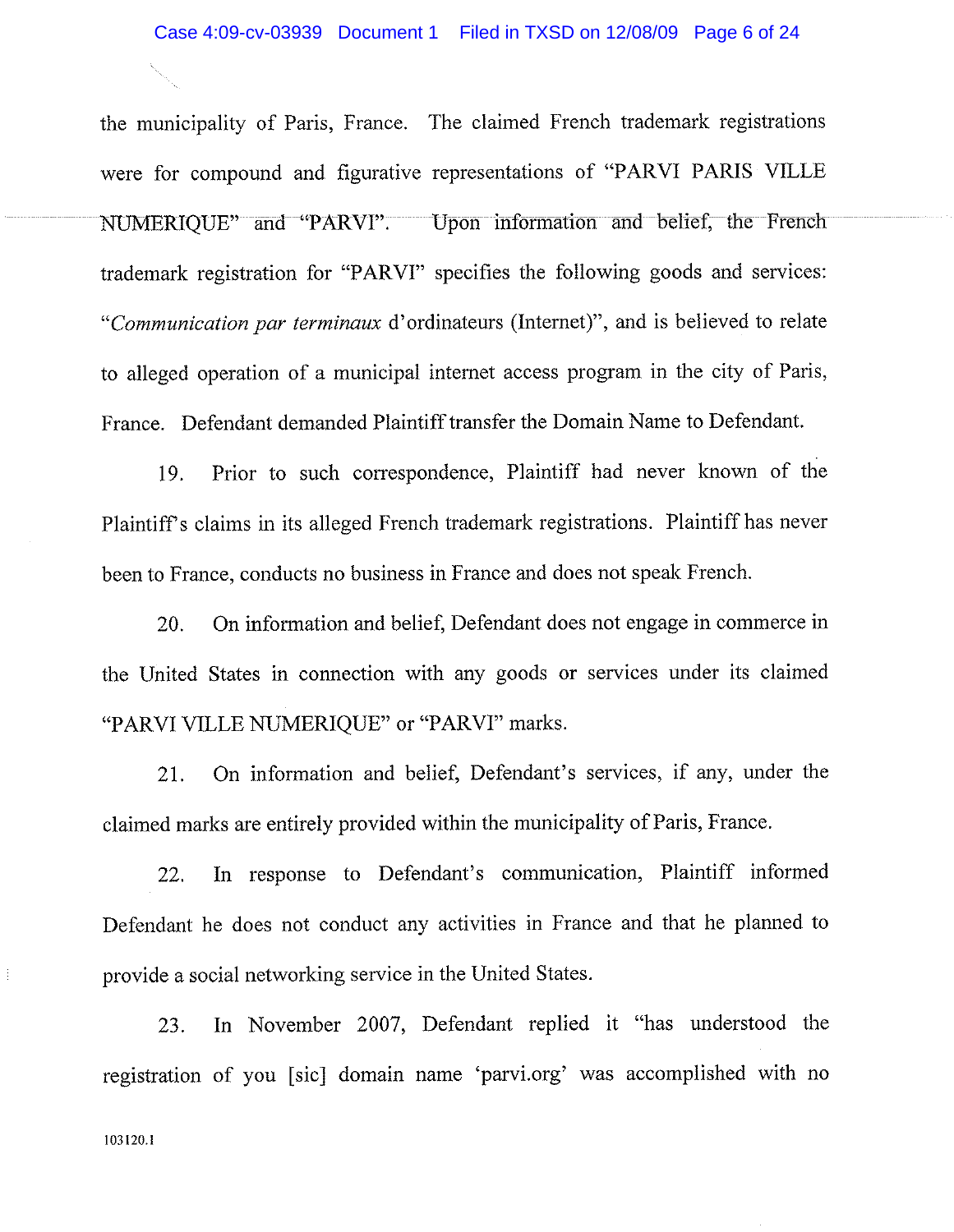the municipality of Paris, France. The claimed French trademark registrations were for compound and figurative representations of "PARVI PARIS VILLE Upon information and belief, the French NUMERIOUE" and "PARVI". trademark registration for "PARVI" specifies the following goods and services: "Communication par terminaux d'ordinateurs (Internet)", and is believed to relate to alleged operation of a municipal internet access program in the city of Paris, France. Defendant demanded Plaintiff transfer the Domain Name to Defendant.

Prior to such correspondence, Plaintiff had never known of the 19. Plaintiff's claims in its alleged French trademark registrations. Plaintiff has never been to France, conducts no business in France and does not speak French.

On information and belief, Defendant does not engage in commerce in 20. the United States in connection with any goods or services under its claimed "PARVI VILLE NUMERIQUE" or "PARVI" marks.

On information and belief, Defendant's services, if any, under the 21. claimed marks are entirely provided within the municipality of Paris, France.

In response to Defendant's communication, Plaintiff informed 22. Defendant he does not conduct any activities in France and that he planned to provide a social networking service in the United States.

In November 2007, Defendant replied it "has understood the 23. registration of you [sic] domain name 'parvi.org' was accomplished with no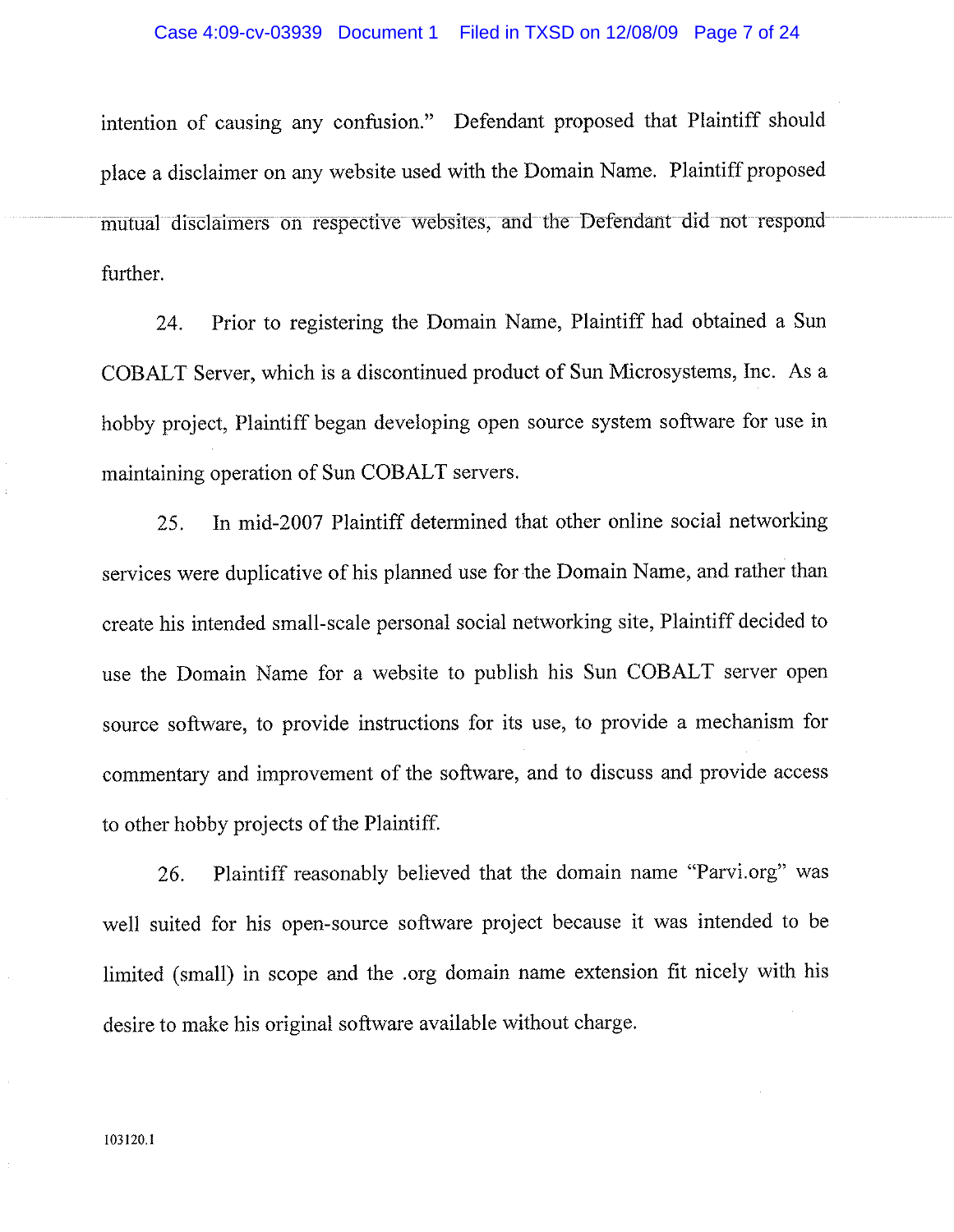intention of causing any confusion." Defendant proposed that Plaintiff should place a disclaimer on any website used with the Domain Name. Plaintiff proposed mutual disclaimers on respective websites, and the Defendant did not respond further.

Prior to registering the Domain Name, Plaintiff had obtained a Sun 24. COBALT Server, which is a discontinued product of Sun Microsystems, Inc. As a hobby project, Plaintiff began developing open source system software for use in maintaining operation of Sun COBALT servers.

25. In mid-2007 Plaintiff determined that other online social networking services were duplicative of his planned use for the Domain Name, and rather than create his intended small-scale personal social networking site, Plaintiff decided to use the Domain Name for a website to publish his Sun COBALT server open source software, to provide instructions for its use, to provide a mechanism for commentary and improvement of the software, and to discuss and provide access to other hobby projects of the Plaintiff.

Plaintiff reasonably believed that the domain name "Parvi.org" was 26. well suited for his open-source software project because it was intended to be limited (small) in scope and the .org domain name extension fit nicely with his desire to make his original software available without charge.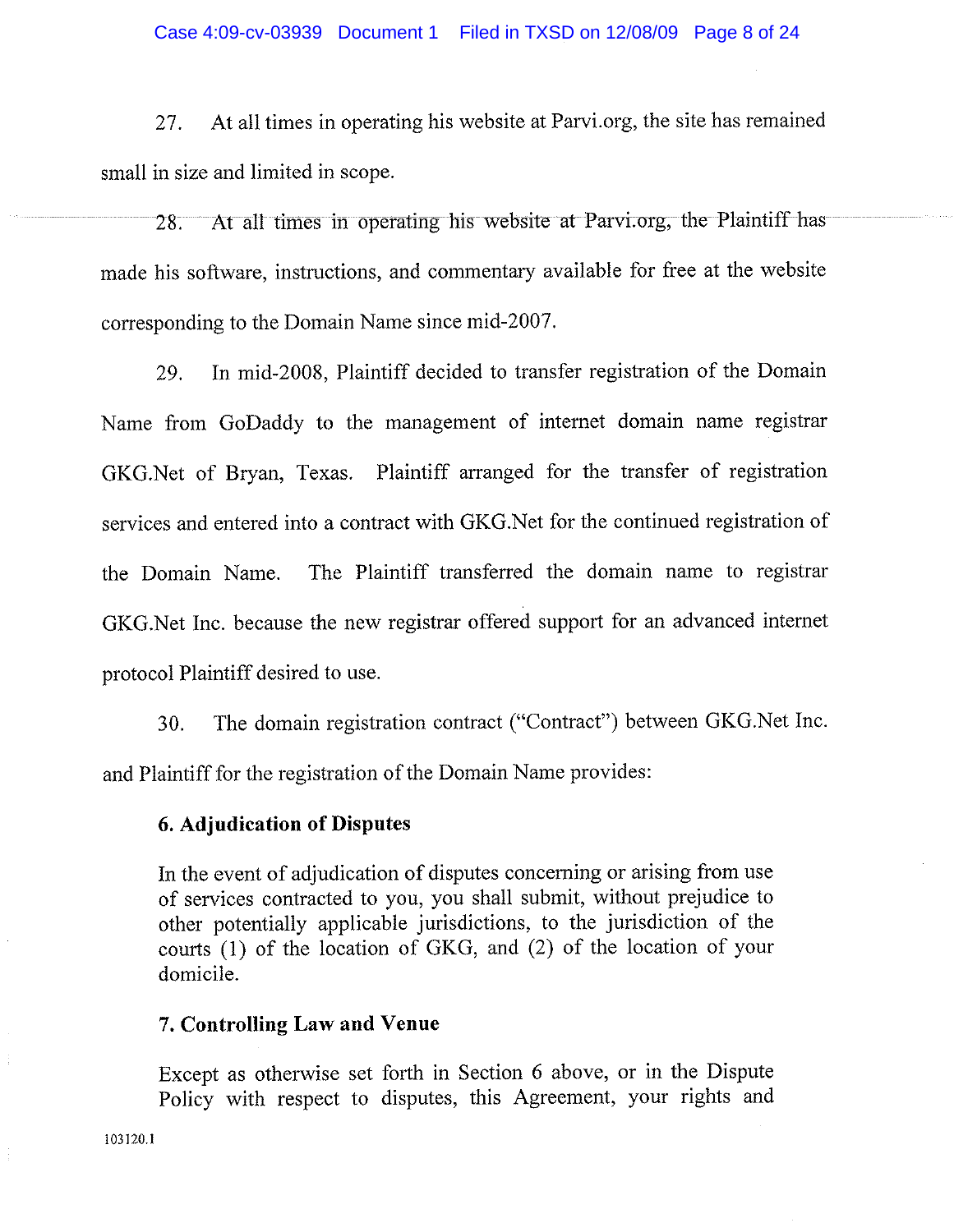### Case 4:09-cv-03939 Document 1 Filed in TXSD on 12/08/09 Page 8 of 24

At all times in operating his website at Parvi.org, the site has remained 27. small in size and limited in scope.

At all times in operating his website at Parviorg, the Plaintiff has 28. made his software, instructions, and commentary available for free at the website corresponding to the Domain Name since mid-2007.

In mid-2008, Plaintiff decided to transfer registration of the Domain 29. Name from GoDaddy to the management of internet domain name registrar GKG.Net of Bryan, Texas. Plaintiff arranged for the transfer of registration services and entered into a contract with GKG.Net for the continued registration of The Plaintiff transferred the domain name to registrar the Domain Name. GKG. Net Inc. because the new registrar offered support for an advanced internet protocol Plaintiff desired to use.

The domain registration contract ("Contract") between GKG. Net Inc. 30. and Plaintiff for the registration of the Domain Name provides:

### **6. Adjudication of Disputes**

In the event of adjudication of disputes concerning or arising from use of services contracted to you, you shall submit, without prejudice to other potentially applicable jurisdictions, to the jurisdiction of the courts (1) of the location of GKG, and (2) of the location of your domicile.

### 7. Controlling Law and Venue

Except as otherwise set forth in Section 6 above, or in the Dispute Policy with respect to disputes, this Agreement, your rights and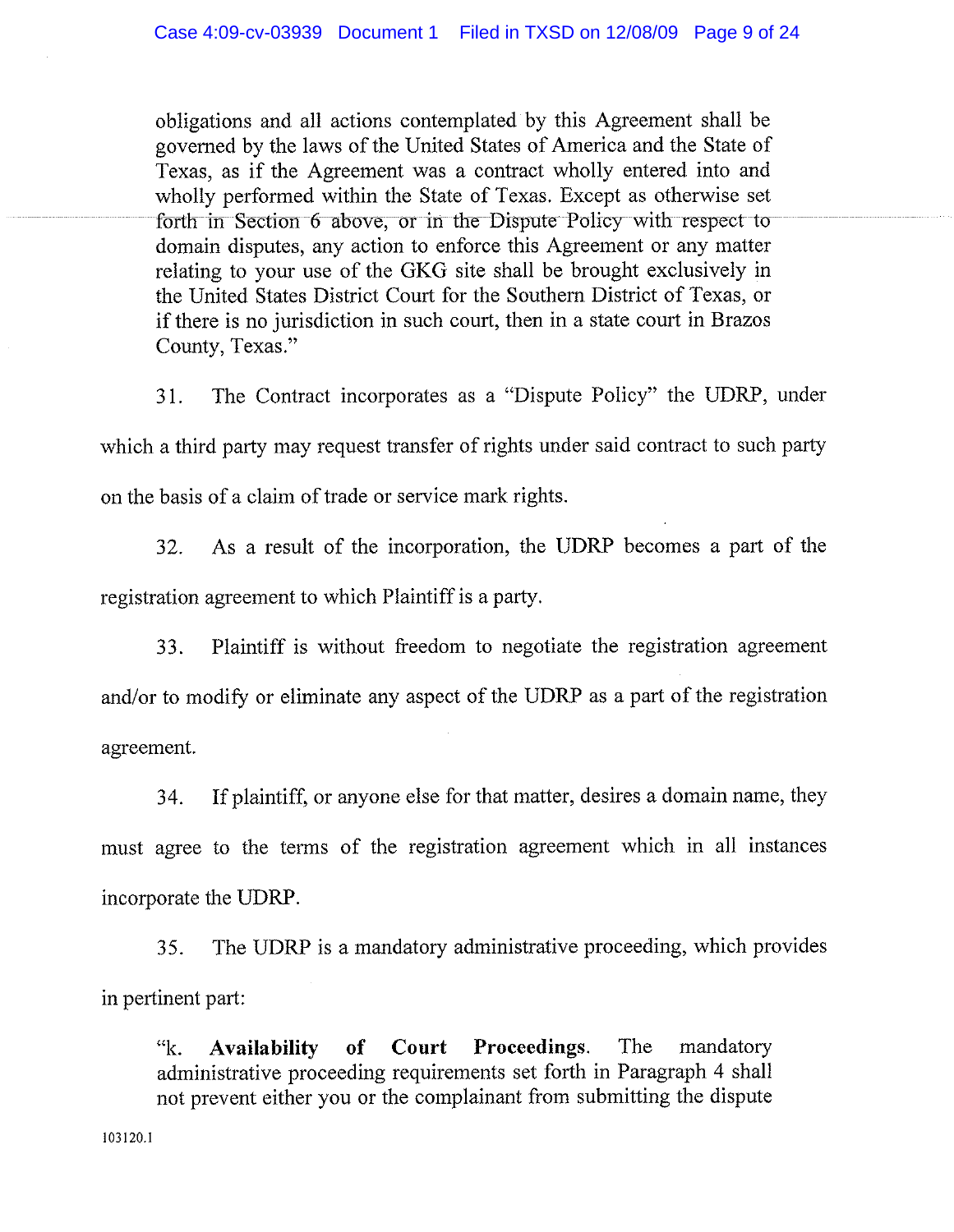obligations and all actions contemplated by this Agreement shall be governed by the laws of the United States of America and the State of Texas, as if the Agreement was a contract wholly entered into and wholly performed within the State of Texas. Except as otherwise set forth in Section 6 above, or in the Dispute Policy with respect to domain disputes, any action to enforce this Agreement or any matter relating to your use of the GKG site shall be brought exclusively in the United States District Court for the Southern District of Texas, or if there is no jurisdiction in such court, then in a state court in Brazos County, Texas."

The Contract incorporates as a "Dispute Policy" the UDRP, under 31. which a third party may request transfer of rights under said contract to such party on the basis of a claim of trade or service mark rights.

As a result of the incorporation, the UDRP becomes a part of the 32. registration agreement to which Plaintiff is a party.

Plaintiff is without freedom to negotiate the registration agreement 33. and/or to modify or eliminate any aspect of the UDRP as a part of the registration agreement.

If plaintiff, or anyone else for that matter, desires a domain name, they 34. must agree to the terms of the registration agreement which in all instances incorporate the UDRP.

The UDRP is a mandatory administrative proceeding, which provides 35. in pertinent part:

Court Proceedings. The **Availability** of mandatory  $kappa$ administrative proceeding requirements set forth in Paragraph 4 shall not prevent either you or the complainant from submitting the dispute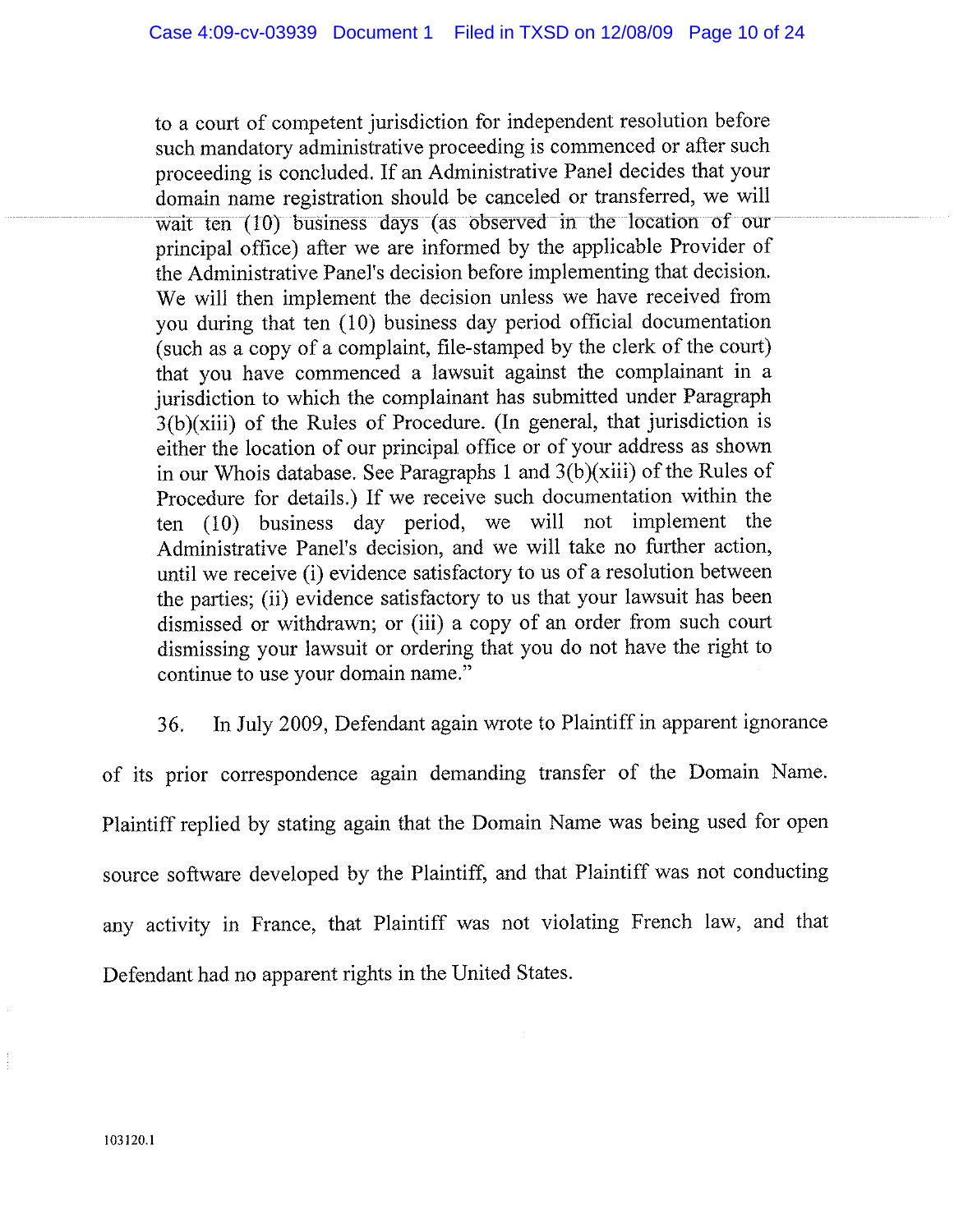to a court of competent jurisdiction for independent resolution before such mandatory administrative proceeding is commenced or after such proceeding is concluded. If an Administrative Panel decides that your domain name registration should be canceled or transferred, we will wait ten (10) business days (as observed in the location of our principal office) after we are informed by the applicable Provider of the Administrative Panel's decision before implementing that decision. We will then implement the decision unless we have received from you during that ten (10) business day period official documentation (such as a copy of a complaint, file-stamped by the clerk of the court) that you have commenced a lawsuit against the complainant in a jurisdiction to which the complainant has submitted under Paragraph  $3(b)(xiii)$  of the Rules of Procedure. (In general, that jurisdiction is either the location of our principal office or of your address as shown in our Whois database. See Paragraphs 1 and 3(b)(xiii) of the Rules of Procedure for details.) If we receive such documentation within the ten (10) business day period, we will not implement the Administrative Panel's decision, and we will take no further action, until we receive (i) evidence satisfactory to us of a resolution between the parties; (ii) evidence satisfactory to us that your lawsuit has been dismissed or withdrawn; or (iii) a copy of an order from such court dismissing your lawsuit or ordering that you do not have the right to continue to use your domain name."

In July 2009, Defendant again wrote to Plaintiff in apparent ignorance 36.

of its prior correspondence again demanding transfer of the Domain Name. Plaintiff replied by stating again that the Domain Name was being used for open source software developed by the Plaintiff, and that Plaintiff was not conducting any activity in France, that Plaintiff was not violating French law, and that Defendant had no apparent rights in the United States.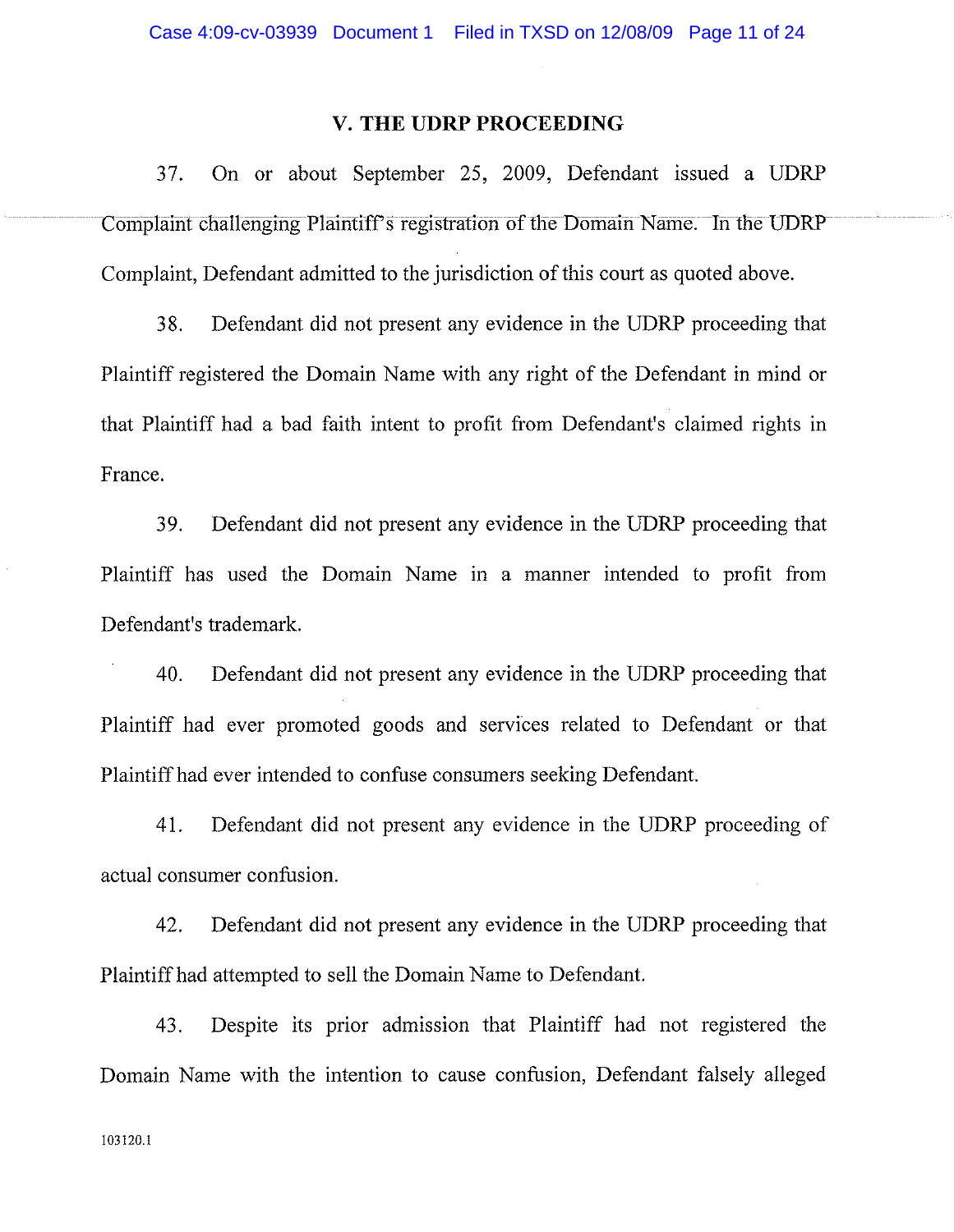### V. THE UDRP PROCEEDING

On or about September 25, 2009, Defendant issued a UDRP  $37.$ Complaint challenging Plaintiff's registration of the Domain Name. In the UDRP Complaint, Defendant admitted to the jurisdiction of this court as quoted above.

38. Defendant did not present any evidence in the UDRP proceeding that Plaintiff registered the Domain Name with any right of the Defendant in mind or that Plaintiff had a bad faith intent to profit from Defendant's claimed rights in France.

39. Defendant did not present any evidence in the UDRP proceeding that Plaintiff has used the Domain Name in a manner intended to profit from Defendant's trademark.

40. Defendant did not present any evidence in the UDRP proceeding that Plaintiff had ever promoted goods and services related to Defendant or that Plaintiff had ever intended to confuse consumers seeking Defendant.

41. Defendant did not present any evidence in the UDRP proceeding of actual consumer confusion.

42. Defendant did not present any evidence in the UDRP proceeding that Plaintiff had attempted to sell the Domain Name to Defendant.

Despite its prior admission that Plaintiff had not registered the 43. Domain Name with the intention to cause confusion, Defendant falsely alleged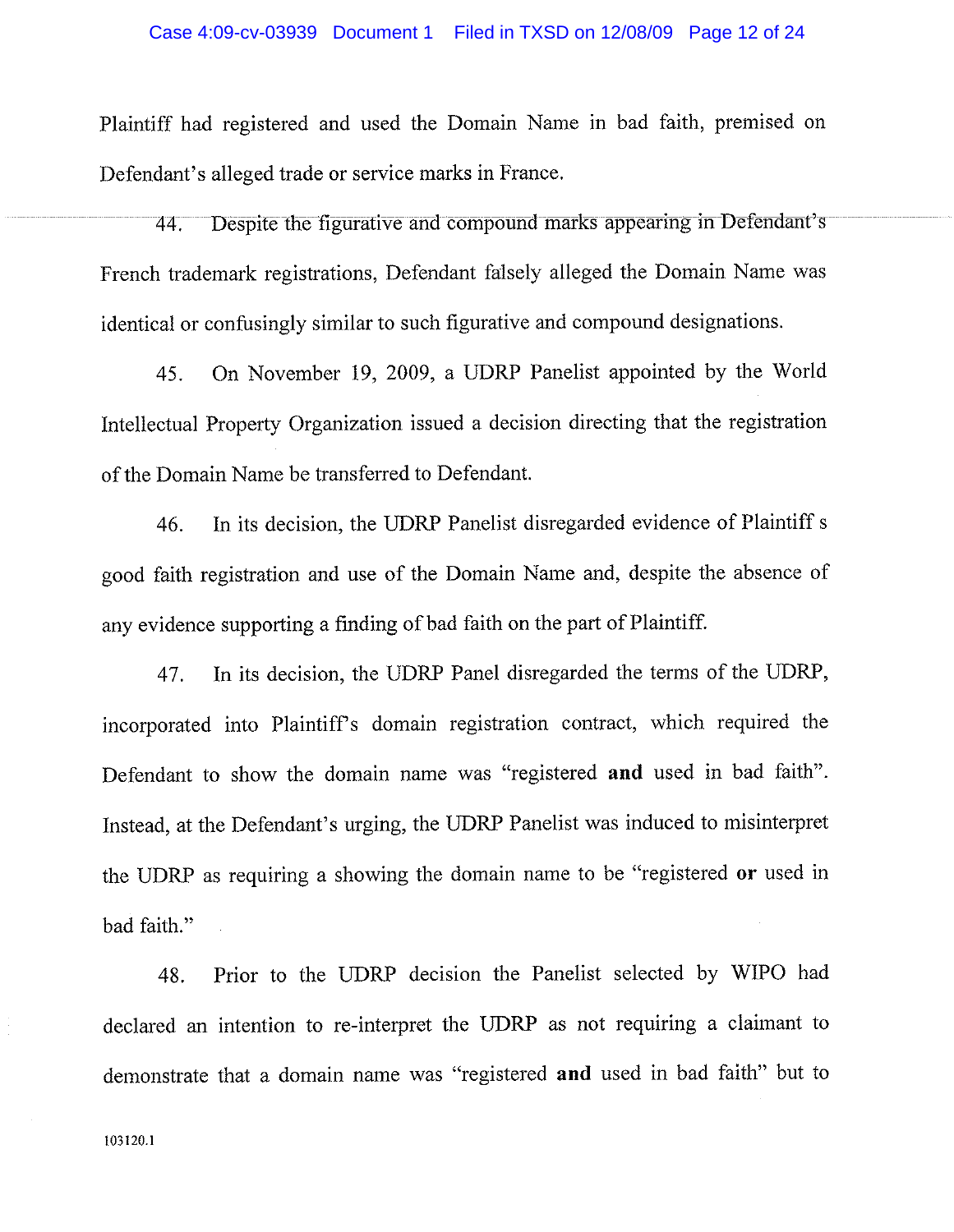Plaintiff had registered and used the Domain Name in bad faith, premised on Defendant's alleged trade or service marks in France.

44. Despite the figurative and compound marks appearing in Defendant's French trademark registrations, Defendant falsely alleged the Domain Name was identical or confusingly similar to such figurative and compound designations.

On November 19, 2009, a UDRP Panelist appointed by the World 45. Intellectual Property Organization issued a decision directing that the registration of the Domain Name be transferred to Defendant.

In its decision, the UDRP Panelist disregarded evidence of Plaintiff s 46. good faith registration and use of the Domain Name and, despite the absence of any evidence supporting a finding of bad faith on the part of Plaintiff.

In its decision, the UDRP Panel disregarded the terms of the UDRP, 47. incorporated into Plaintiff's domain registration contract, which required the Defendant to show the domain name was "registered and used in bad faith". Instead, at the Defendant's urging, the UDRP Panelist was induced to misinterpret the UDRP as requiring a showing the domain name to be "registered or used in bad faith."

Prior to the UDRP decision the Panelist selected by WIPO had 48. declared an intention to re-interpret the UDRP as not requiring a claimant to demonstrate that a domain name was "registered and used in bad faith" but to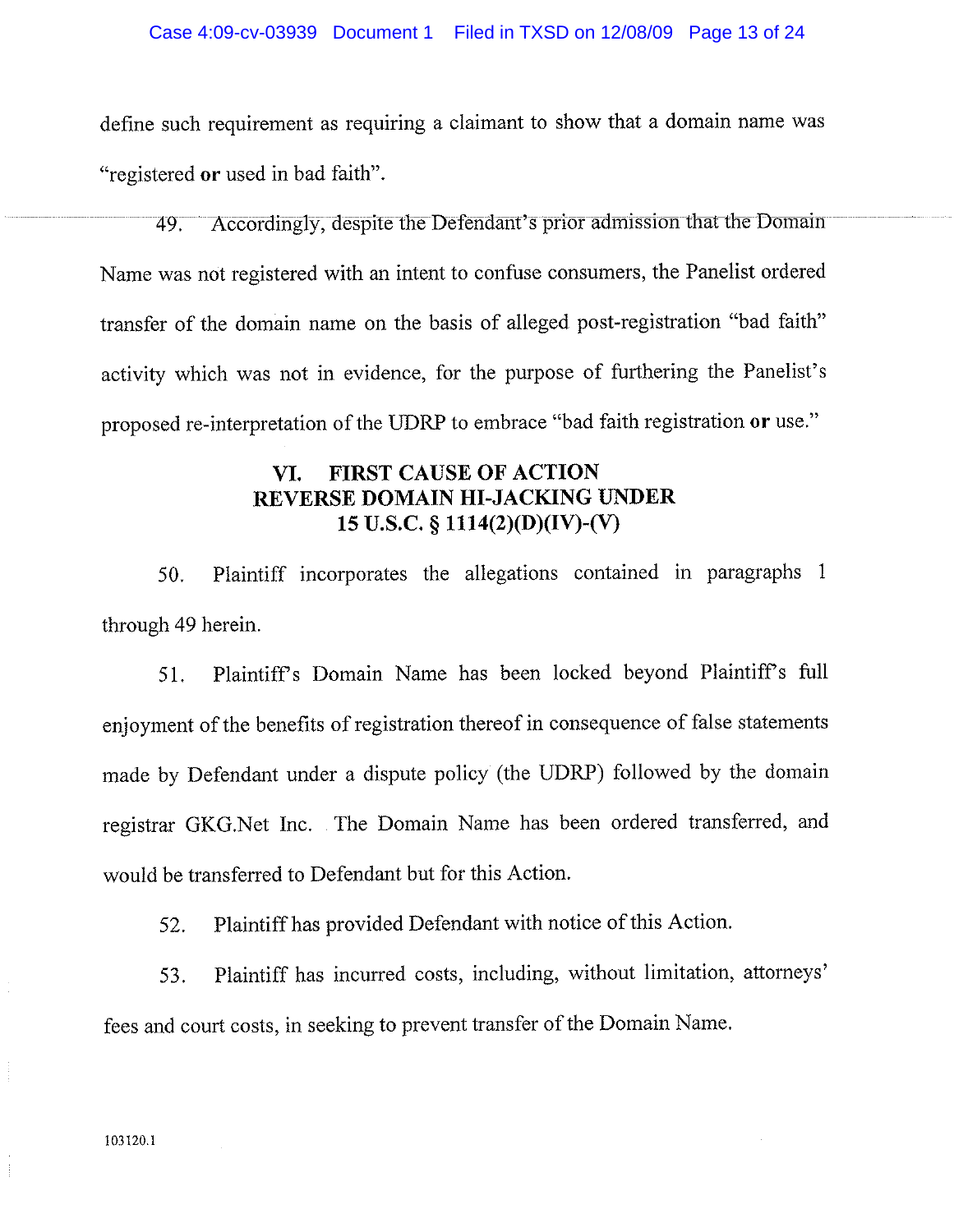define such requirement as requiring a claimant to show that a domain name was "registered or used in bad faith".

Accordingly, despite the Defendant's prior admission that the Domain 49. Name was not registered with an intent to confuse consumers, the Panelist ordered transfer of the domain name on the basis of alleged post-registration "bad faith" activity which was not in evidence, for the purpose of furthering the Panelist's proposed re-interpretation of the UDRP to embrace "bad faith registration or use."

#### **FIRST CAUSE OF ACTION** VI. REVERSE DOMAIN HI-JACKING UNDER 15 U.S.C. § 1114(2)(D)(IV)-(V)

Plaintiff incorporates the allegations contained in paragraphs 1 50. through 49 herein.

Plaintiff's Domain Name has been locked beyond Plaintiff's full 51. enjoyment of the benefits of registration thereof in consequence of false statements made by Defendant under a dispute policy (the UDRP) followed by the domain registrar GKG.Net Inc. The Domain Name has been ordered transferred, and would be transferred to Defendant but for this Action.

Plaintiff has provided Defendant with notice of this Action. 52.

Plaintiff has incurred costs, including, without limitation, attorneys' 53. fees and court costs, in seeking to prevent transfer of the Domain Name.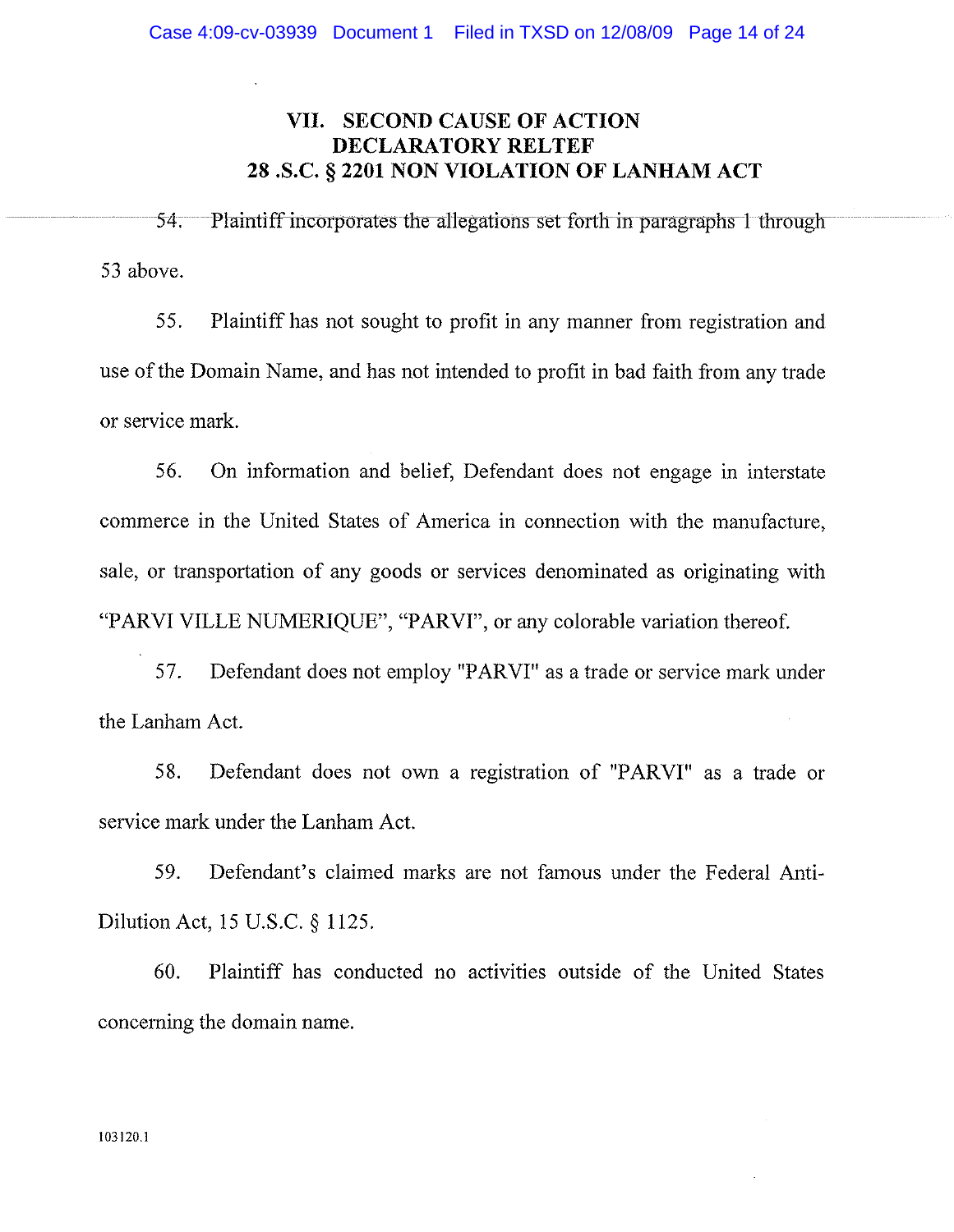## VII. SECOND CAUSE OF ACTION DECLARATORY RELTEF 28 .S.C. § 2201 NON VIOLATION OF LANHAM ACT

Plaintiff incorporates the allegations set forth in paragraphs 1 through  $54^{-}$ 53 above.

55. Plaintiff has not sought to profit in any manner from registration and use of the Domain Name, and has not intended to profit in bad faith from any trade or service mark.

56. On information and belief, Defendant does not engage in interstate commerce in the United States of America in connection with the manufacture, sale, or transportation of any goods or services denominated as originating with "PARVI VILLE NUMERIQUE", "PARVI", or any colorable variation thereof.

Defendant does not employ "PARVI" as a trade or service mark under 57. the Lanham Act.

58. Defendant does not own a registration of "PARVI" as a trade or service mark under the Lanham Act.

59. Defendant's claimed marks are not famous under the Federal Anti-Dilution Act, 15 U.S.C. § 1125.

Plaintiff has conducted no activities outside of the United States 60. concerning the domain name.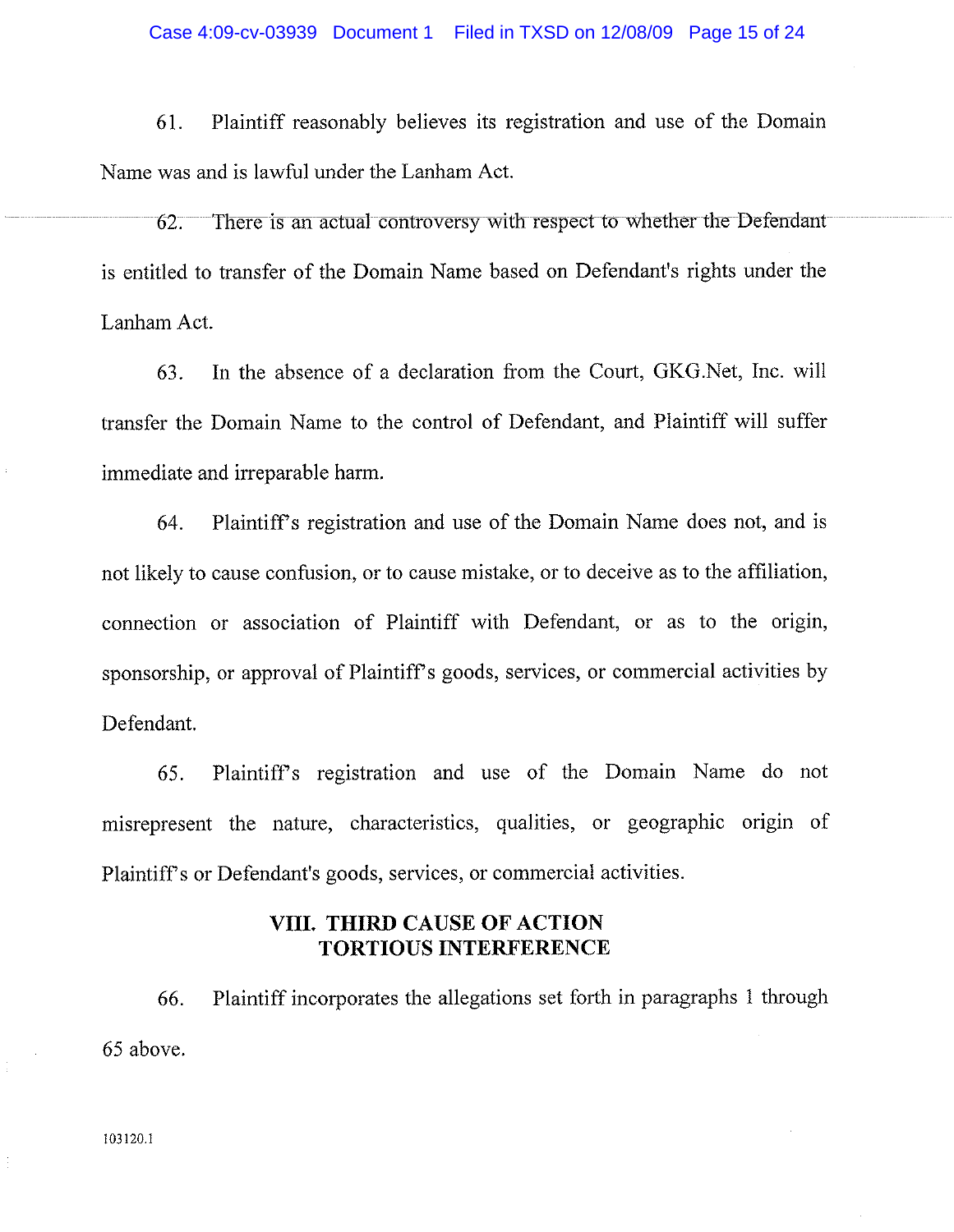Plaintiff reasonably believes its registration and use of the Domain 61. Name was and is lawful under the Lanham Act.

There is an actual controversy with respect to whether the Defendant  $62.$ is entitled to transfer of the Domain Name based on Defendant's rights under the Lanham Act.

In the absence of a declaration from the Court, GKG. Net, Inc. will 63. transfer the Domain Name to the control of Defendant, and Plaintiff will suffer immediate and irreparable harm.

Plaintiff's registration and use of the Domain Name does not, and is 64. not likely to cause confusion, or to cause mistake, or to deceive as to the affiliation, connection or association of Plaintiff with Defendant, or as to the origin, sponsorship, or approval of Plaintiff's goods, services, or commercial activities by Defendant.

Plaintiff's registration and use of the Domain Name do not 65. misrepresent the nature, characteristics, qualities, or geographic origin of Plaintiff's or Defendant's goods, services, or commercial activities.

## VIII. THIRD CAUSE OF ACTION **TORTIOUS INTERFERENCE**

Plaintiff incorporates the allegations set forth in paragraphs 1 through 66. 65 above.

103120.1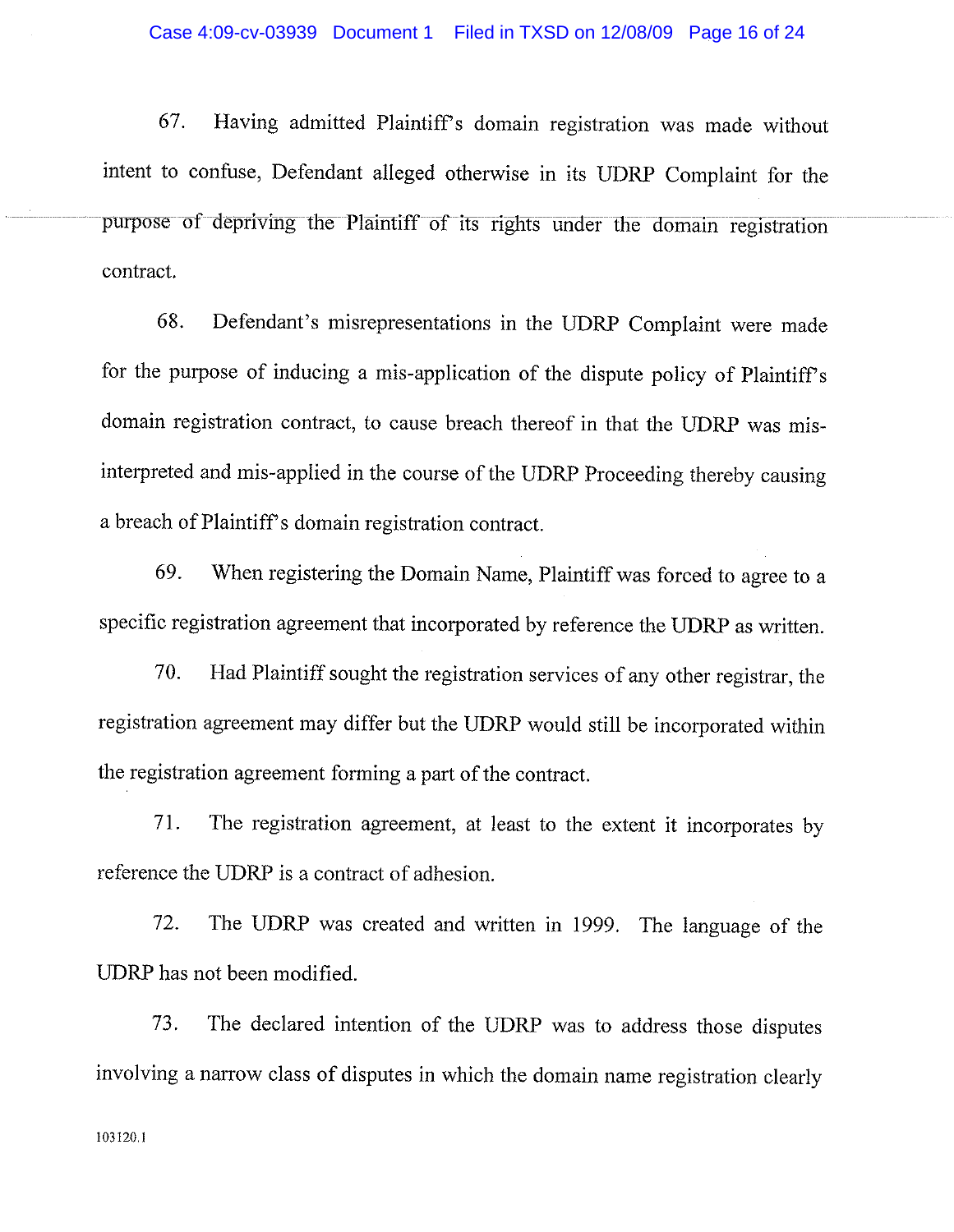67. Having admitted Plaintiff's domain registration was made without intent to confuse, Defendant alleged otherwise in its UDRP Complaint for the purpose of depriving the Plaintiff of its rights under the domain registration contract.

Defendant's misrepresentations in the UDRP Complaint were made 68. for the purpose of inducing a mis-application of the dispute policy of Plaintiff's domain registration contract, to cause breach thereof in that the UDRP was misinterpreted and mis-applied in the course of the UDRP Proceeding thereby causing a breach of Plaintiff's domain registration contract.

69. When registering the Domain Name, Plaintiff was forced to agree to a specific registration agreement that incorporated by reference the UDRP as written.

70. Had Plaintiff sought the registration services of any other registrar, the registration agreement may differ but the UDRP would still be incorporated within the registration agreement forming a part of the contract.

71. The registration agreement, at least to the extent it incorporates by reference the UDRP is a contract of adhesion.

The UDRP was created and written in 1999. The language of the 72. UDRP has not been modified.

73. The declared intention of the UDRP was to address those disputes involving a narrow class of disputes in which the domain name registration clearly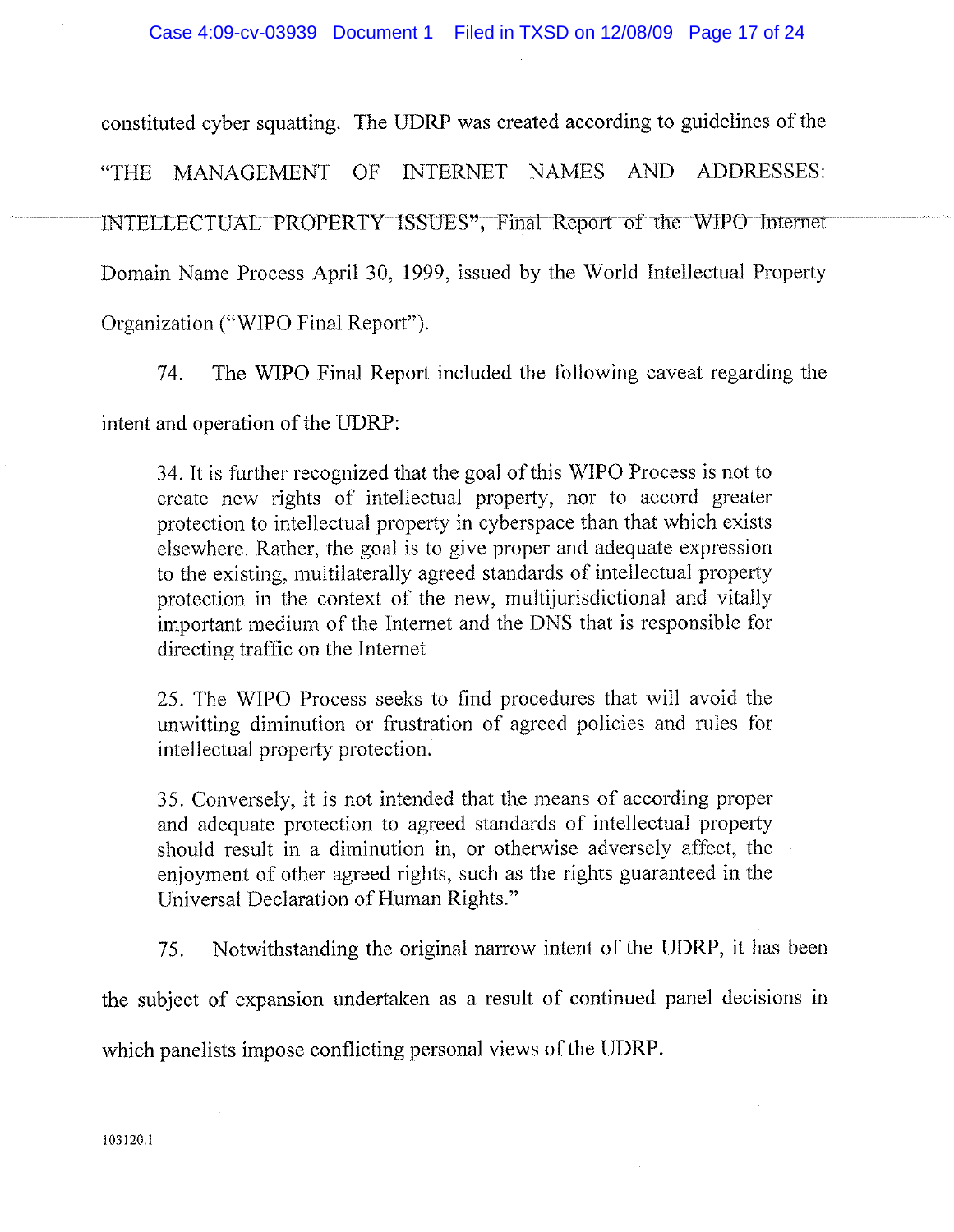constituted cyber squatting. The UDRP was created according to guidelines of the INTERNET NAMES **AND ADDRESSES:** "THE **MANAGEMENT**  $OF$ INTELLECTUAL PROPERTY ISSUES", Final Report of the WIPO Internet Domain Name Process April 30, 1999, issued by the World Intellectual Property Organization ("WIPO Final Report").

74. The WIPO Final Report included the following caveat regarding the

intent and operation of the UDRP:

34. It is further recognized that the goal of this WIPO Process is not to create new rights of intellectual property, nor to accord greater protection to intellectual property in cyberspace than that which exists elsewhere. Rather, the goal is to give proper and adequate expression to the existing, multilaterally agreed standards of intellectual property protection in the context of the new, multijurisdictional and vitally important medium of the Internet and the DNS that is responsible for directing traffic on the Internet

25. The WIPO Process seeks to find procedures that will avoid the unwitting diminution or frustration of agreed policies and rules for intellectual property protection.

35. Conversely, it is not intended that the means of according proper and adequate protection to agreed standards of intellectual property should result in a diminution in, or otherwise adversely affect, the enjoyment of other agreed rights, such as the rights guaranteed in the Universal Declaration of Human Rights."

Notwithstanding the original narrow intent of the UDRP, it has been 75. the subject of expansion undertaken as a result of continued panel decisions in which panelists impose conflicting personal views of the UDRP.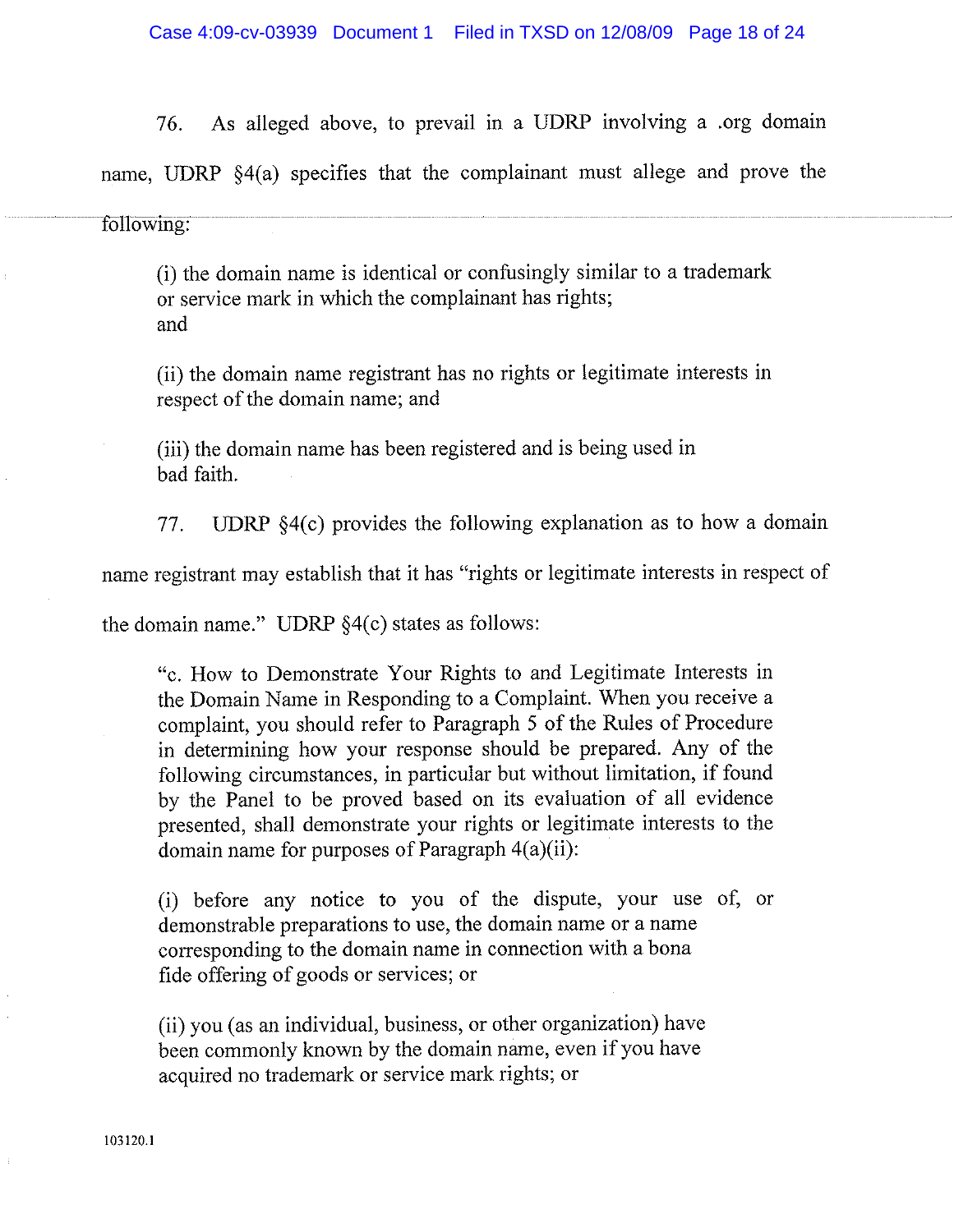As alleged above, to prevail in a UDRP involving a .org domain 76.

name, UDRP  $§4(a)$  specifies that the complainant must allege and prove the

following:

(i) the domain name is identical or confusingly similar to a trademark or service mark in which the complainant has rights; and

(ii) the domain name registrant has no rights or legitimate interests in respect of the domain name; and

(iii) the domain name has been registered and is being used in bad faith.

UDRP  $§$ 4(c) provides the following explanation as to how a domain 77.

name registrant may establish that it has "rights or legitimate interests in respect of

the domain name." UDRP  $§4(c)$  states as follows:

"c. How to Demonstrate Your Rights to and Legitimate Interests in the Domain Name in Responding to a Complaint. When you receive a complaint, you should refer to Paragraph 5 of the Rules of Procedure in determining how your response should be prepared. Any of the following circumstances, in particular but without limitation, if found by the Panel to be proved based on its evaluation of all evidence presented, shall demonstrate your rights or legitimate interests to the domain name for purposes of Paragraph  $4(a)(ii)$ :

(i) before any notice to you of the dispute, your use of, or demonstrable preparations to use, the domain name or a name corresponding to the domain name in connection with a bona fide offering of goods or services; or

(ii) you (as an individual, business, or other organization) have been commonly known by the domain name, even if you have acquired no trademark or service mark rights; or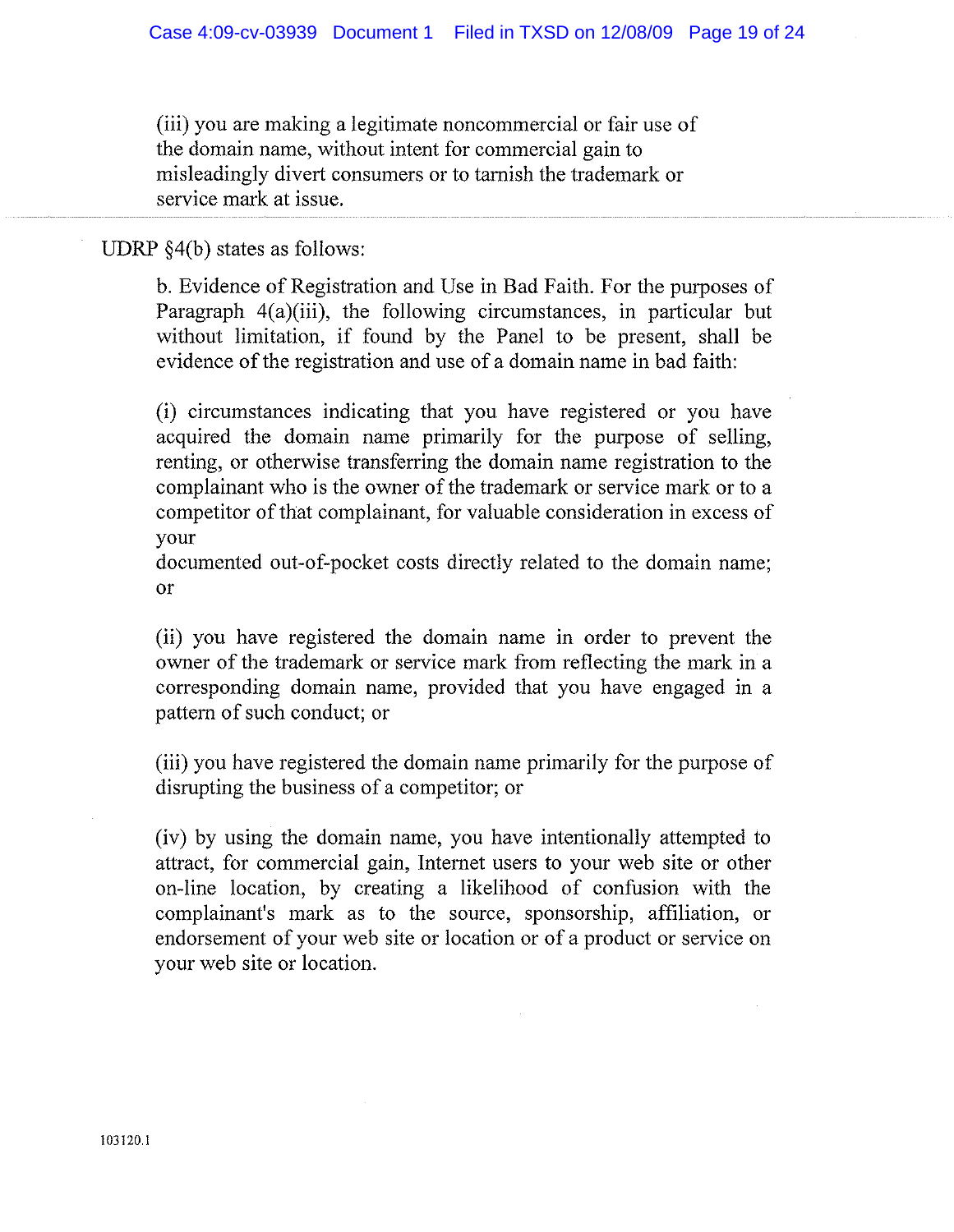(iii) you are making a legitimate noncommercial or fair use of the domain name, without intent for commercial gain to misleadingly divert consumers or to tarnish the trademark or service mark at issue.

UDRP  $§4(b)$  states as follows:

b. Evidence of Registration and Use in Bad Faith. For the purposes of Paragraph  $4(a)(iii)$ , the following circumstances, in particular but without limitation, if found by the Panel to be present, shall be evidence of the registration and use of a domain name in bad faith:

(i) circumstances indicating that you have registered or you have acquired the domain name primarily for the purpose of selling, renting, or otherwise transferring the domain name registration to the complainant who is the owner of the trademark or service mark or to a competitor of that complainant, for valuable consideration in excess of your

documented out-of-pocket costs directly related to the domain name; or

(ii) you have registered the domain name in order to prevent the owner of the trademark or service mark from reflecting the mark in a corresponding domain name, provided that you have engaged in a pattern of such conduct; or

(iii) you have registered the domain name primarily for the purpose of disrupting the business of a competitor; or

(iv) by using the domain name, you have intentionally attempted to attract, for commercial gain, Internet users to your web site or other on-line location, by creating a likelihood of confusion with the complainant's mark as to the source, sponsorship, affiliation, or endorsement of your web site or location or of a product or service on your web site or location.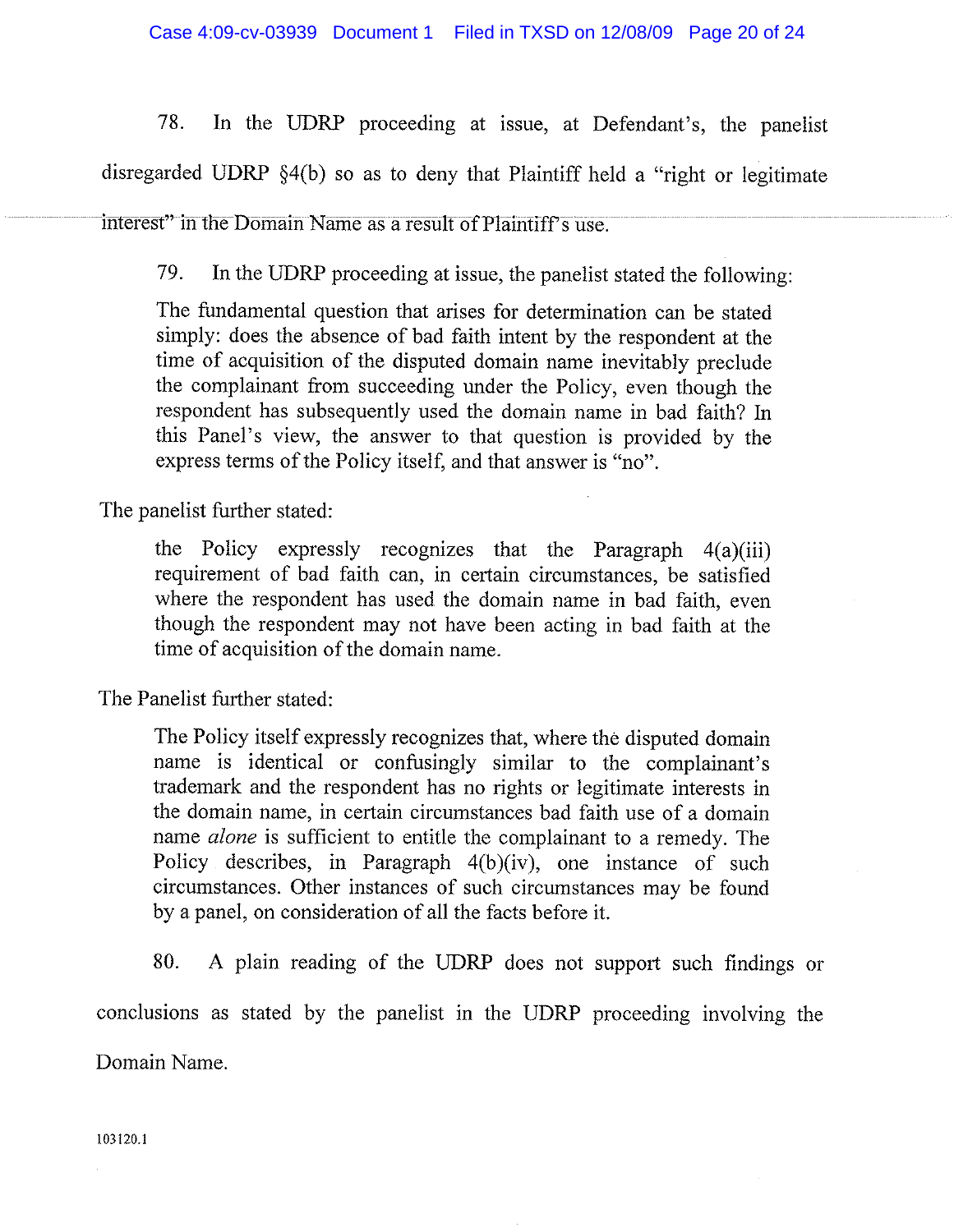78. In the UDRP proceeding at issue, at Defendant's, the panelist

disregarded UDRP §4(b) so as to deny that Plaintiff held a "right or legitimate

interest" in the Domain Name as a result of Plaintiff's use.

79. In the UDRP proceeding at issue, the panelist stated the following:

The fundamental question that arises for determination can be stated simply: does the absence of bad faith intent by the respondent at the time of acquisition of the disputed domain name inevitably preclude the complainant from succeeding under the Policy, even though the respondent has subsequently used the domain name in bad faith? In this Panel's view, the answer to that question is provided by the express terms of the Policy itself, and that answer is "no".

The panelist further stated:

the Policy expressly recognizes that the Paragraph  $4(a)(iii)$ requirement of bad faith can, in certain circumstances, be satisfied where the respondent has used the domain name in bad faith, even though the respondent may not have been acting in bad faith at the time of acquisition of the domain name.

The Panelist further stated:

The Policy itself expressly recognizes that, where the disputed domain name is identical or confusingly similar to the complainant's trademark and the respondent has no rights or legitimate interests in the domain name, in certain circumstances bad faith use of a domain name *alone* is sufficient to entitle the complainant to a remedy. The Policy describes, in Paragraph 4(b)(iv), one instance of such circumstances. Other instances of such circumstances may be found by a panel, on consideration of all the facts before it.

80. A plain reading of the UDRP does not support such findings or conclusions as stated by the panelist in the UDRP proceeding involving the Domain Name.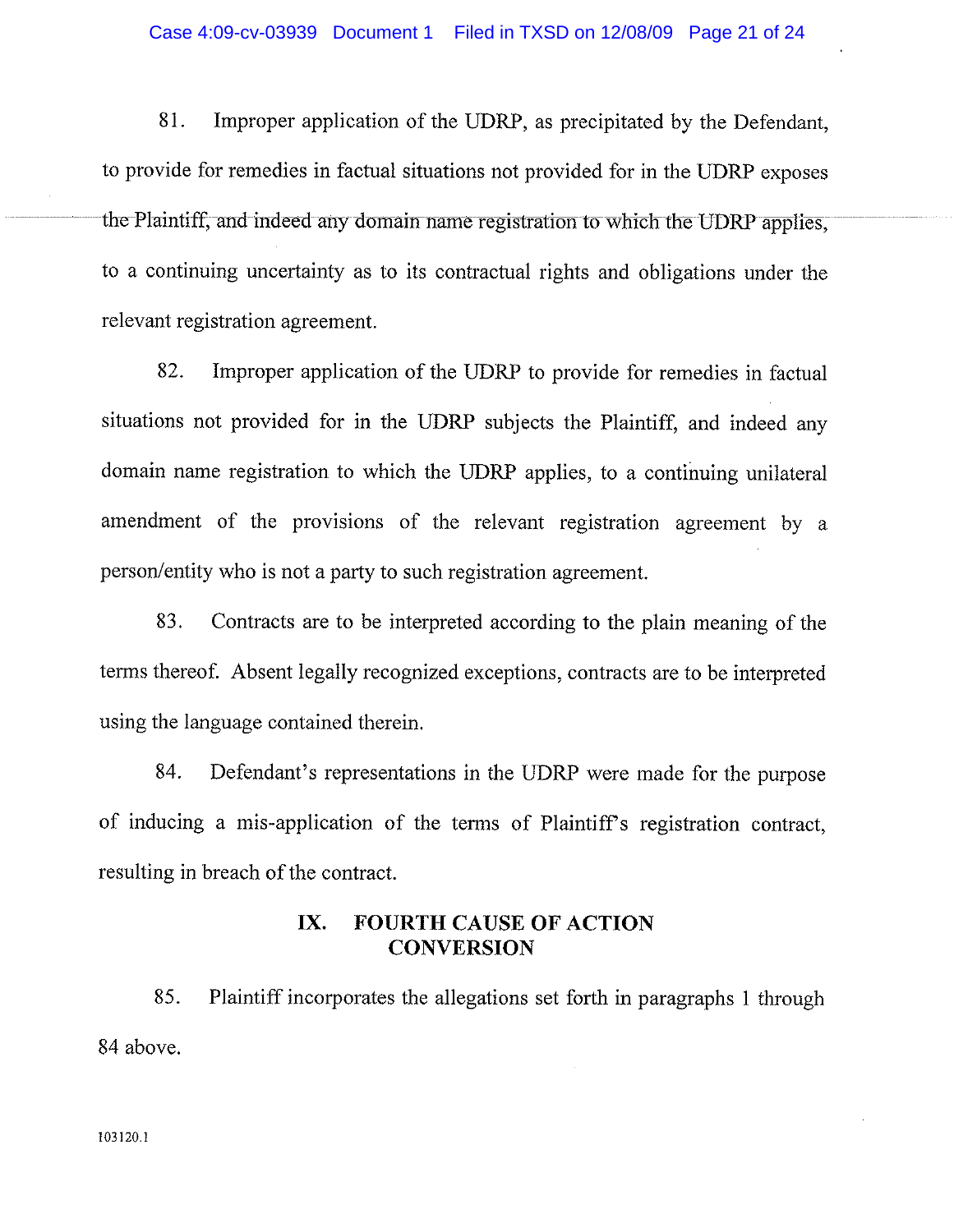81. Improper application of the UDRP, as precipitated by the Defendant, to provide for remedies in factual situations not provided for in the UDRP exposes the Plaintiff, and indeed any domain name registration to which the UDRP applies, to a continuing uncertainty as to its contractual rights and obligations under the relevant registration agreement.

82. Improper application of the UDRP to provide for remedies in factual situations not provided for in the UDRP subjects the Plaintiff, and indeed any domain name registration to which the UDRP applies, to a continuing unilateral amendment of the provisions of the relevant registration agreement by a person/entity who is not a party to such registration agreement.

83. Contracts are to be interpreted according to the plain meaning of the terms thereof. Absent legally recognized exceptions, contracts are to be interpreted using the language contained therein.

Defendant's representations in the UDRP were made for the purpose 84. of inducing a mis-application of the terms of Plaintiff's registration contract, resulting in breach of the contract.

#### IX. **FOURTH CAUSE OF ACTION CONVERSION**

85. Plaintiff incorporates the allegations set forth in paragraphs 1 through 84 above.

103120.1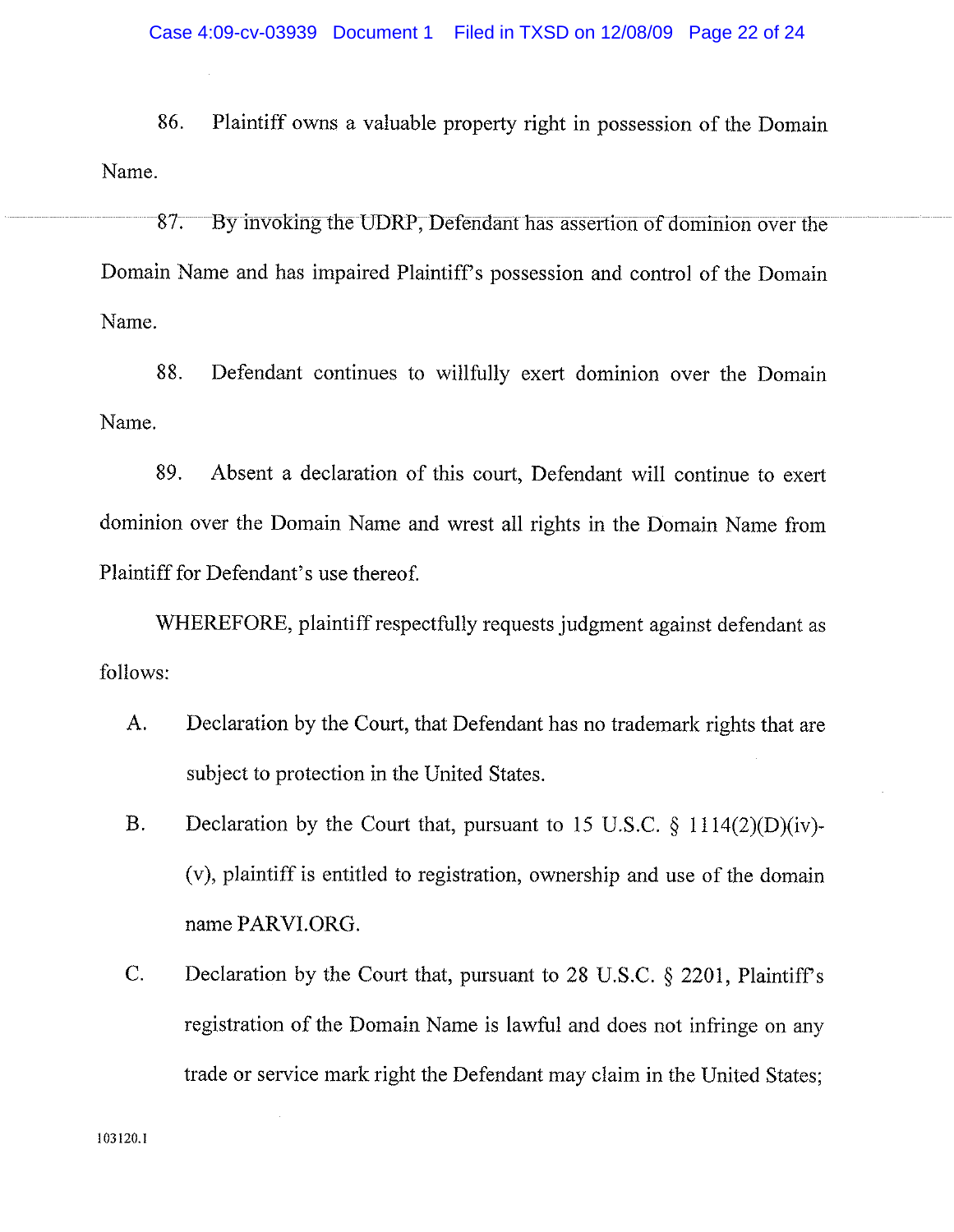86. Plaintiff owns a valuable property right in possession of the Domain Name.

By invoking the UDRP, Defendant has assertion of dominion over the  $87.$ Domain Name and has impaired Plaintiff's possession and control of the Domain Name.

Defendant continues to willfully exert dominion over the Domain 88. Name.

Absent a declaration of this court, Defendant will continue to exert 89. dominion over the Domain Name and wrest all rights in the Domain Name from Plaintiff for Defendant's use thereof.

WHEREFORE, plaintiff respectfully requests judgment against defendant as follows:

- $A.$ Declaration by the Court, that Defendant has no trademark rights that are subject to protection in the United States.
- $B.$ Declaration by the Court that, pursuant to 15 U.S.C.  $\delta$  1114(2)(D)(iv)-(v), plaintiff is entitled to registration, ownership and use of the domain name PARVI.ORG.
- Declaration by the Court that, pursuant to 28 U.S.C. § 2201, Plaintiff's  $C_{\cdot}$ registration of the Domain Name is lawful and does not infringe on any trade or service mark right the Defendant may claim in the United States: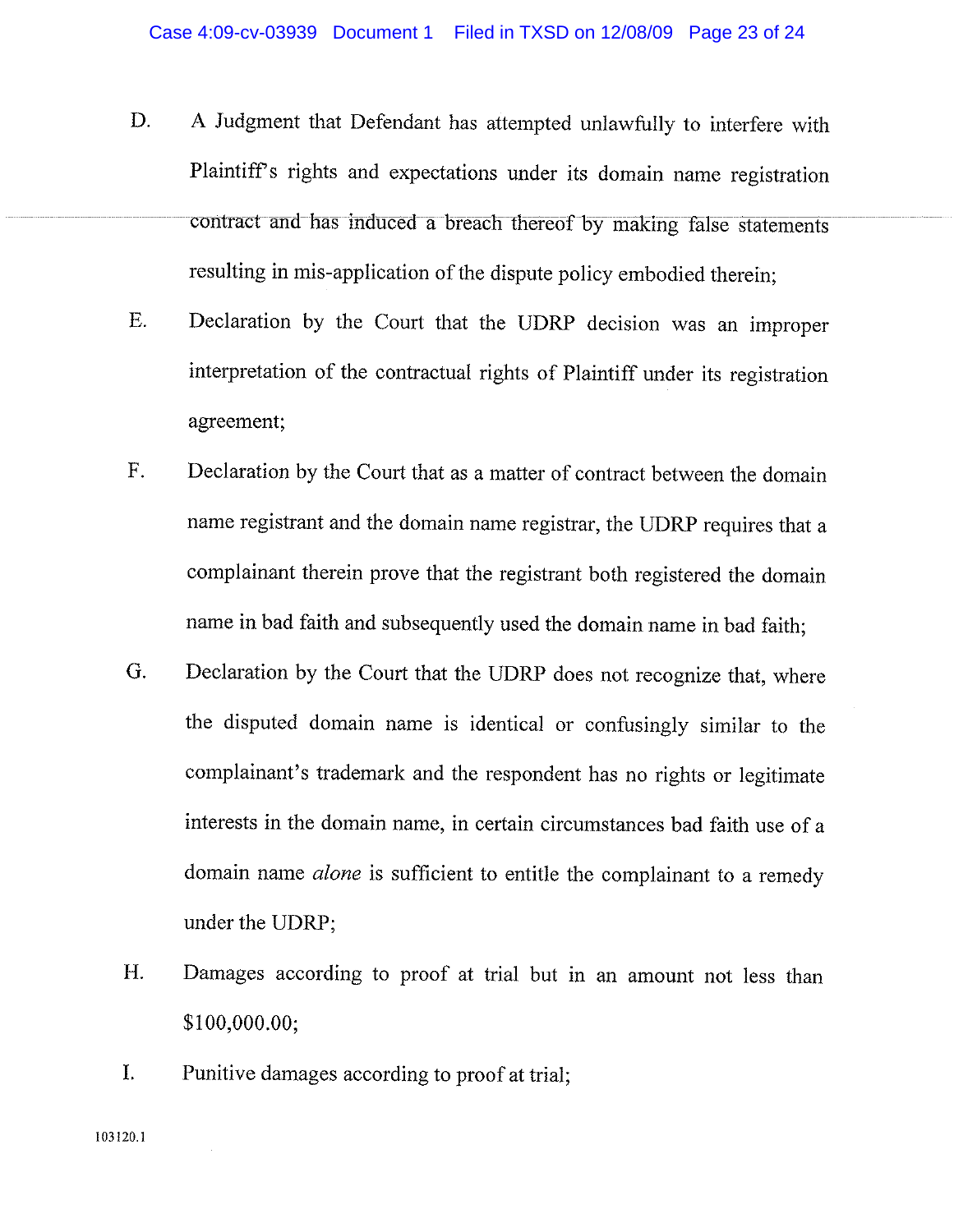- A Judgment that Defendant has attempted unlawfully to interfere with D. Plaintiff's rights and expectations under its domain name registration contract and has induced a breach thereof by making false statements resulting in mis-application of the dispute policy embodied therein;
- $E.$ Declaration by the Court that the UDRP decision was an improper interpretation of the contractual rights of Plaintiff under its registration agreement;
- Declaration by the Court that as a matter of contract between the domain  $F.$ name registrant and the domain name registrar, the UDRP requires that a complainant therein prove that the registrant both registered the domain name in bad faith and subsequently used the domain name in bad faith;
- Declaration by the Court that the UDRP does not recognize that, where G. the disputed domain name is identical or confusingly similar to the complainant's trademark and the respondent has no rights or legitimate interests in the domain name, in certain circumstances bad faith use of a domain name alone is sufficient to entitle the complainant to a remedy under the UDRP;
- Damages according to proof at trial but in an amount not less than H.  $$100,000.00;$
- I. Punitive damages according to proof at trial;